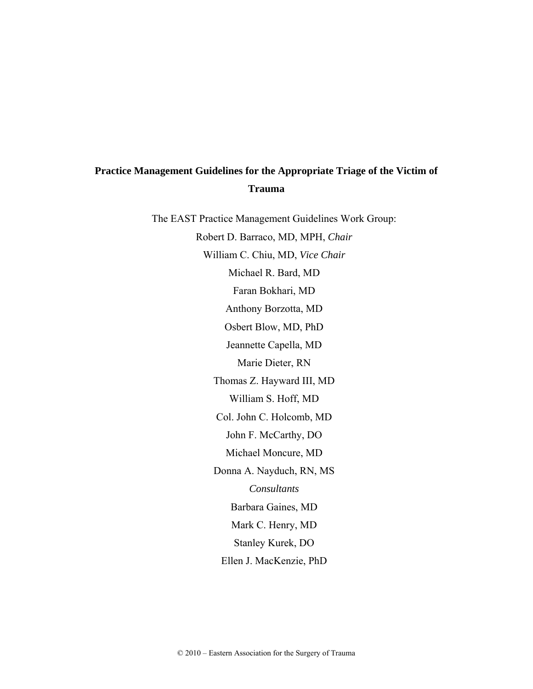# **Practice Management Guidelines for the Appropriate Triage of the Victim of Trauma**

The EAST Practice Management Guidelines Work Group: Robert D. Barraco, MD, MPH, *Chair*  William C. Chiu, MD, *Vice Chair*  Michael R. Bard, MD Faran Bokhari, MD Anthony Borzotta, MD Osbert Blow, MD, PhD Jeannette Capella, MD Marie Dieter, RN Thomas Z. Hayward III, MD William S. Hoff, MD Col. John C. Holcomb, MD John F. McCarthy, DO Michael Moncure, MD Donna A. Nayduch, RN, MS *Consultants*  Barbara Gaines, MD Mark C. Henry, MD Stanley Kurek, DO Ellen J. MacKenzie, PhD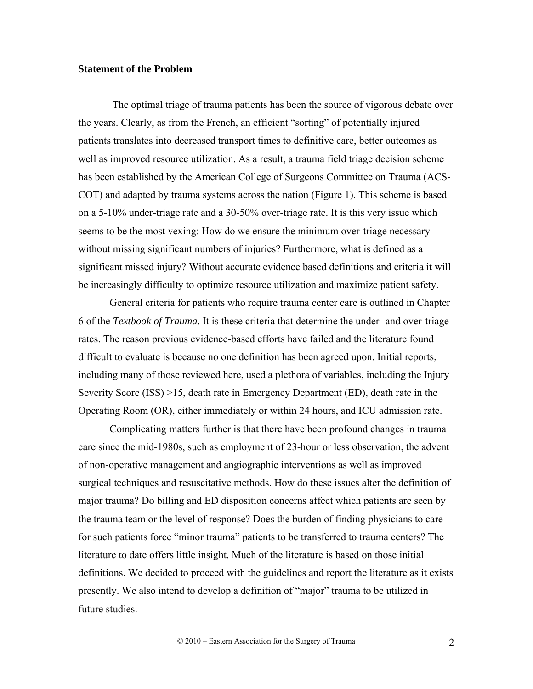### **Statement of the Problem**

 The optimal triage of trauma patients has been the source of vigorous debate over the years. Clearly, as from the French, an efficient "sorting" of potentially injured patients translates into decreased transport times to definitive care, better outcomes as well as improved resource utilization. As a result, a trauma field triage decision scheme has been established by the American College of Surgeons Committee on Trauma (ACS-COT) and adapted by trauma systems across the nation (Figure 1). This scheme is based on a 5-10% under-triage rate and a 30-50% over-triage rate. It is this very issue which seems to be the most vexing: How do we ensure the minimum over-triage necessary without missing significant numbers of injuries? Furthermore, what is defined as a significant missed injury? Without accurate evidence based definitions and criteria it will be increasingly difficulty to optimize resource utilization and maximize patient safety.

General criteria for patients who require trauma center care is outlined in Chapter 6 of the *Textbook of Trauma*. It is these criteria that determine the under- and over-triage rates. The reason previous evidence-based efforts have failed and the literature found difficult to evaluate is because no one definition has been agreed upon. Initial reports, including many of those reviewed here, used a plethora of variables, including the Injury Severity Score (ISS) >15, death rate in Emergency Department (ED), death rate in the Operating Room (OR), either immediately or within 24 hours, and ICU admission rate.

Complicating matters further is that there have been profound changes in trauma care since the mid-1980s, such as employment of 23-hour or less observation, the advent of non-operative management and angiographic interventions as well as improved surgical techniques and resuscitative methods. How do these issues alter the definition of major trauma? Do billing and ED disposition concerns affect which patients are seen by the trauma team or the level of response? Does the burden of finding physicians to care for such patients force "minor trauma" patients to be transferred to trauma centers? The literature to date offers little insight. Much of the literature is based on those initial definitions. We decided to proceed with the guidelines and report the literature as it exists presently. We also intend to develop a definition of "major" trauma to be utilized in future studies.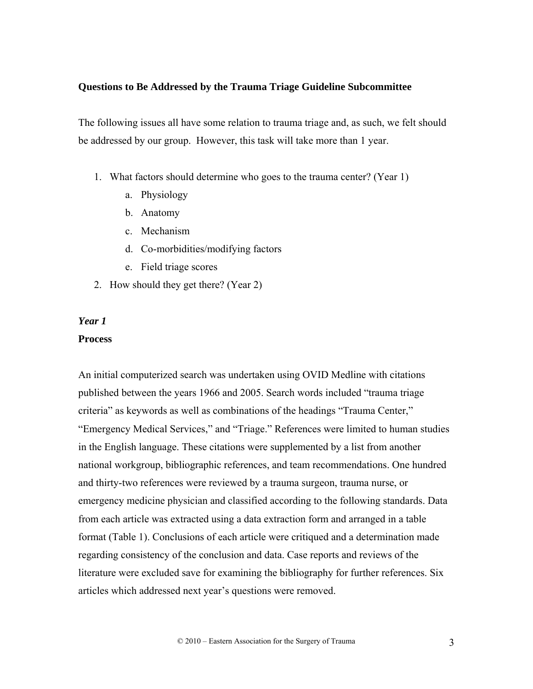### **Questions to Be Addressed by the Trauma Triage Guideline Subcommittee**

The following issues all have some relation to trauma triage and, as such, we felt should be addressed by our group. However, this task will take more than 1 year.

- 1. What factors should determine who goes to the trauma center? (Year 1)
	- a. Physiology
	- b. Anatomy
	- c. Mechanism
	- d. Co-morbidities/modifying factors
	- e. Field triage scores
- 2. How should they get there? (Year 2)

# *Year 1*

### **Process**

An initial computerized search was undertaken using OVID Medline with citations published between the years 1966 and 2005. Search words included "trauma triage criteria" as keywords as well as combinations of the headings "Trauma Center," "Emergency Medical Services," and "Triage." References were limited to human studies in the English language. These citations were supplemented by a list from another national workgroup, bibliographic references, and team recommendations. One hundred and thirty-two references were reviewed by a trauma surgeon, trauma nurse, or emergency medicine physician and classified according to the following standards. Data from each article was extracted using a data extraction form and arranged in a table format (Table 1). Conclusions of each article were critiqued and a determination made regarding consistency of the conclusion and data. Case reports and reviews of the literature were excluded save for examining the bibliography for further references. Six articles which addressed next year's questions were removed.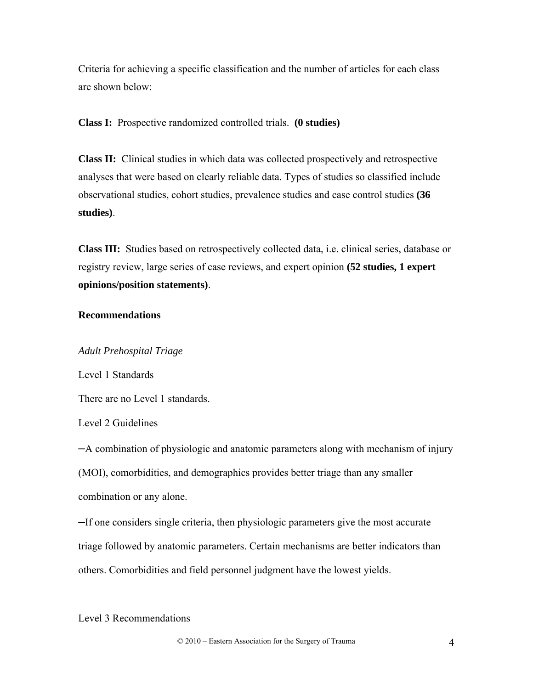Criteria for achieving a specific classification and the number of articles for each class are shown below:

**Class I:** Prospective randomized controlled trials. **(0 studies)**

**Class II:** Clinical studies in which data was collected prospectively and retrospective analyses that were based on clearly reliable data. Types of studies so classified include observational studies, cohort studies, prevalence studies and case control studies **(36 studies)**.

**Class III:** Studies based on retrospectively collected data, i.e. clinical series, database or registry review, large series of case reviews, and expert opinion **(52 studies, 1 expert opinions/position statements)**.

## **Recommendations**

#### *Adult Prehospital Triage*

Level 1 Standards

There are no Level 1 standards.

Level 2 Guidelines

–A combination of physiologic and anatomic parameters along with mechanism of injury (MOI), comorbidities, and demographics provides better triage than any smaller combination or any alone.

–If one considers single criteria, then physiologic parameters give the most accurate triage followed by anatomic parameters. Certain mechanisms are better indicators than others. Comorbidities and field personnel judgment have the lowest yields.

Level 3 Recommendations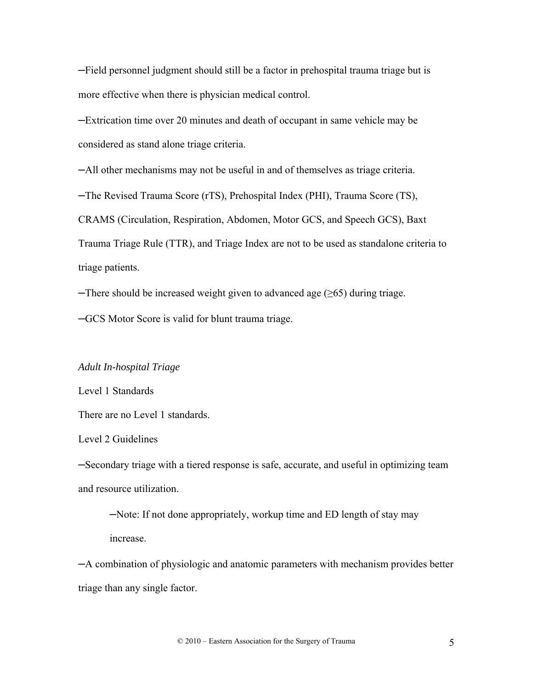–Field personnel judgment should still be a factor in prehospital trauma triage but is more effective when there is physician medical control.

–Extrication time over 20 minutes and death of occupant in same vehicle may be considered as stand alone triage criteria.

–All other mechanisms may not be useful in and of themselves as triage criteria.

–The Revised Trauma Score (rTS), Prehospital Index (PHI), Trauma Score (TS),

CRAMS (Circulation, Respiration, Abdomen, Motor GCS, and Speech GCS), Baxt Trauma Triage Rule (TTR), and Triage Index are not to be used as standalone criteria to triage patients.

 $-$ There should be increased weight given to advanced age ( $\geq$ 65) during triage.

–GCS Motor Score is valid for blunt trauma triage.

#### *Adult In-hospital Triage*

Level 1 Standards

There are no Level 1 standards.

#### Level 2 Guidelines

–Secondary triage with a tiered response is safe, accurate, and useful in optimizing team and resource utilization.

–Note: If not done appropriately, workup time and ED length of stay may increase.

–A combination of physiologic and anatomic parameters with mechanism provides better triage than any single factor.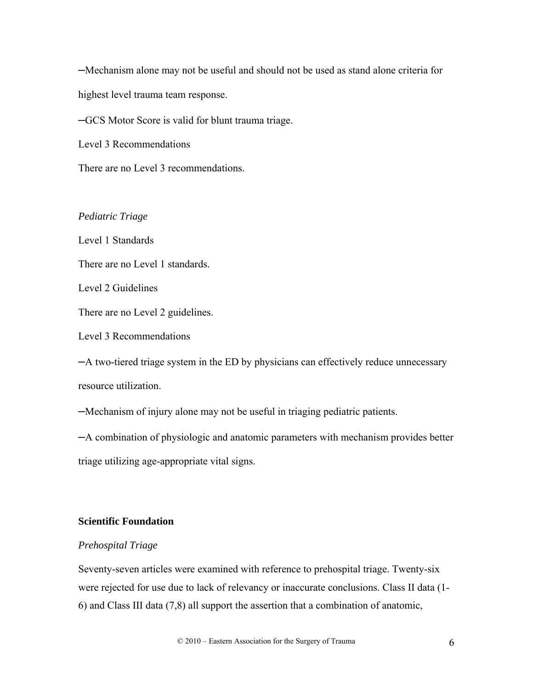–Mechanism alone may not be useful and should not be used as stand alone criteria for highest level trauma team response.

–GCS Motor Score is valid for blunt trauma triage.

Level 3 Recommendations

There are no Level 3 recommendations.

# *Pediatric Triage*

Level 1 Standards

There are no Level 1 standards.

Level 2 Guidelines

There are no Level 2 guidelines.

Level 3 Recommendations

–A two-tiered triage system in the ED by physicians can effectively reduce unnecessary resource utilization.

–Mechanism of injury alone may not be useful in triaging pediatric patients.

–A combination of physiologic and anatomic parameters with mechanism provides better triage utilizing age-appropriate vital signs.

## **Scientific Foundation**

## *Prehospital Triage*

Seventy-seven articles were examined with reference to prehospital triage. Twenty-six were rejected for use due to lack of relevancy or inaccurate conclusions. Class II data (1- 6) and Class III data (7,8) all support the assertion that a combination of anatomic,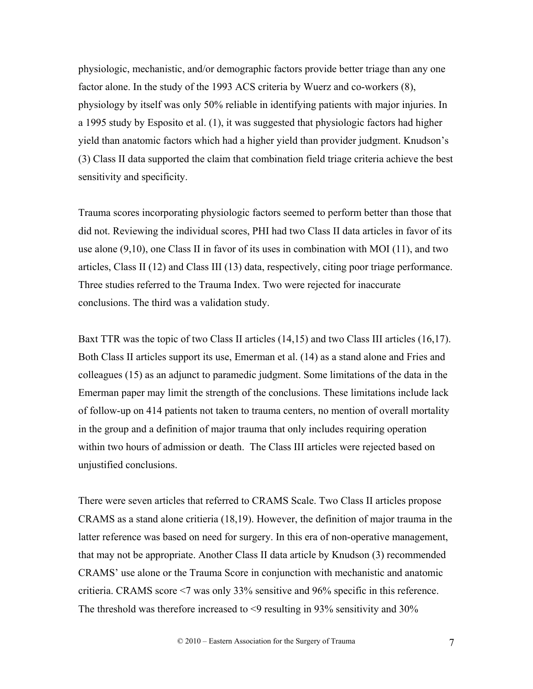physiologic, mechanistic, and/or demographic factors provide better triage than any one factor alone. In the study of the 1993 ACS criteria by Wuerz and co-workers (8), physiology by itself was only 50% reliable in identifying patients with major injuries. In a 1995 study by Esposito et al. (1), it was suggested that physiologic factors had higher yield than anatomic factors which had a higher yield than provider judgment. Knudson's (3) Class II data supported the claim that combination field triage criteria achieve the best sensitivity and specificity.

Trauma scores incorporating physiologic factors seemed to perform better than those that did not. Reviewing the individual scores, PHI had two Class II data articles in favor of its use alone (9,10), one Class II in favor of its uses in combination with MOI (11), and two articles, Class II (12) and Class III (13) data, respectively, citing poor triage performance. Three studies referred to the Trauma Index. Two were rejected for inaccurate conclusions. The third was a validation study.

Baxt TTR was the topic of two Class II articles (14,15) and two Class III articles (16,17). Both Class II articles support its use, Emerman et al. (14) as a stand alone and Fries and colleagues (15) as an adjunct to paramedic judgment. Some limitations of the data in the Emerman paper may limit the strength of the conclusions. These limitations include lack of follow-up on 414 patients not taken to trauma centers, no mention of overall mortality in the group and a definition of major trauma that only includes requiring operation within two hours of admission or death. The Class III articles were rejected based on unjustified conclusions.

There were seven articles that referred to CRAMS Scale. Two Class II articles propose CRAMS as a stand alone critieria (18,19). However, the definition of major trauma in the latter reference was based on need for surgery. In this era of non-operative management, that may not be appropriate. Another Class II data article by Knudson (3) recommended CRAMS' use alone or the Trauma Score in conjunction with mechanistic and anatomic critieria. CRAMS score <7 was only 33% sensitive and 96% specific in this reference. The threshold was therefore increased to <9 resulting in 93% sensitivity and 30%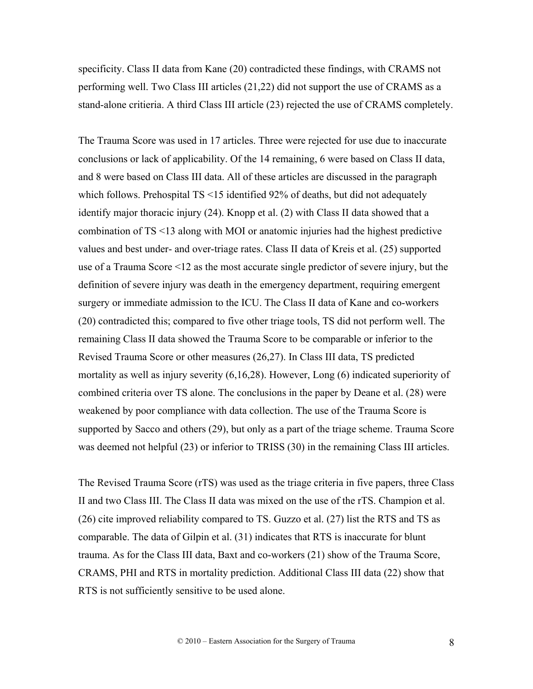specificity. Class II data from Kane (20) contradicted these findings, with CRAMS not performing well. Two Class III articles (21,22) did not support the use of CRAMS as a stand-alone critieria. A third Class III article (23) rejected the use of CRAMS completely.

The Trauma Score was used in 17 articles. Three were rejected for use due to inaccurate conclusions or lack of applicability. Of the 14 remaining, 6 were based on Class II data, and 8 were based on Class III data. All of these articles are discussed in the paragraph which follows. Prehospital TS <15 identified 92% of deaths, but did not adequately identify major thoracic injury (24). Knopp et al. (2) with Class II data showed that a combination of TS <13 along with MOI or anatomic injuries had the highest predictive values and best under- and over-triage rates. Class II data of Kreis et al. (25) supported use of a Trauma Score <12 as the most accurate single predictor of severe injury, but the definition of severe injury was death in the emergency department, requiring emergent surgery or immediate admission to the ICU. The Class II data of Kane and co-workers (20) contradicted this; compared to five other triage tools, TS did not perform well. The remaining Class II data showed the Trauma Score to be comparable or inferior to the Revised Trauma Score or other measures (26,27). In Class III data, TS predicted mortality as well as injury severity (6,16,28). However, Long (6) indicated superiority of combined criteria over TS alone. The conclusions in the paper by Deane et al. (28) were weakened by poor compliance with data collection. The use of the Trauma Score is supported by Sacco and others (29), but only as a part of the triage scheme. Trauma Score was deemed not helpful (23) or inferior to TRISS (30) in the remaining Class III articles.

The Revised Trauma Score (rTS) was used as the triage criteria in five papers, three Class II and two Class III. The Class II data was mixed on the use of the rTS. Champion et al. (26) cite improved reliability compared to TS. Guzzo et al. (27) list the RTS and TS as comparable. The data of Gilpin et al. (31) indicates that RTS is inaccurate for blunt trauma. As for the Class III data, Baxt and co-workers (21) show of the Trauma Score, CRAMS, PHI and RTS in mortality prediction. Additional Class III data (22) show that RTS is not sufficiently sensitive to be used alone.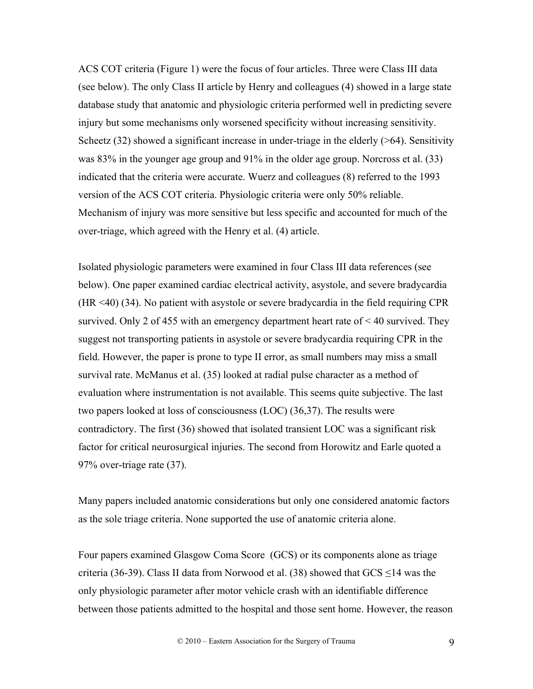ACS COT criteria (Figure 1) were the focus of four articles. Three were Class III data (see below). The only Class II article by Henry and colleagues (4) showed in a large state database study that anatomic and physiologic criteria performed well in predicting severe injury but some mechanisms only worsened specificity without increasing sensitivity. Scheetz (32) showed a significant increase in under-triage in the elderly (>64). Sensitivity was 83% in the younger age group and 91% in the older age group. Norcross et al. (33) indicated that the criteria were accurate. Wuerz and colleagues (8) referred to the 1993 version of the ACS COT criteria. Physiologic criteria were only 50% reliable. Mechanism of injury was more sensitive but less specific and accounted for much of the over-triage, which agreed with the Henry et al. (4) article.

Isolated physiologic parameters were examined in four Class III data references (see below). One paper examined cardiac electrical activity, asystole, and severe bradycardia (HR <40) (34). No patient with asystole or severe bradycardia in the field requiring CPR survived. Only 2 of 455 with an emergency department heart rate of < 40 survived. They suggest not transporting patients in asystole or severe bradycardia requiring CPR in the field. However, the paper is prone to type II error, as small numbers may miss a small survival rate. McManus et al. (35) looked at radial pulse character as a method of evaluation where instrumentation is not available. This seems quite subjective. The last two papers looked at loss of consciousness (LOC) (36,37). The results were contradictory. The first (36) showed that isolated transient LOC was a significant risk factor for critical neurosurgical injuries. The second from Horowitz and Earle quoted a 97% over-triage rate (37).

Many papers included anatomic considerations but only one considered anatomic factors as the sole triage criteria. None supported the use of anatomic criteria alone.

Four papers examined Glasgow Coma Score (GCS) or its components alone as triage criteria (36-39). Class II data from Norwood et al. (38) showed that  $GCS \le 14$  was the only physiologic parameter after motor vehicle crash with an identifiable difference between those patients admitted to the hospital and those sent home. However, the reason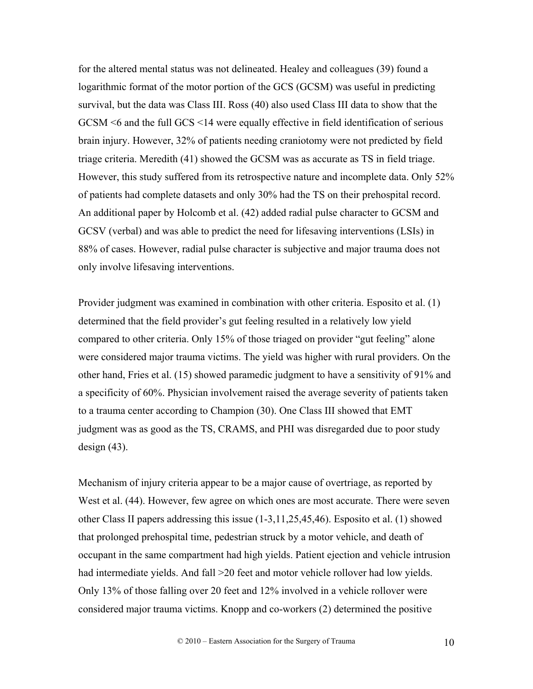for the altered mental status was not delineated. Healey and colleagues (39) found a logarithmic format of the motor portion of the GCS (GCSM) was useful in predicting survival, but the data was Class III. Ross (40) also used Class III data to show that the GCSM <6 and the full GCS <14 were equally effective in field identification of serious brain injury. However, 32% of patients needing craniotomy were not predicted by field triage criteria. Meredith (41) showed the GCSM was as accurate as TS in field triage. However, this study suffered from its retrospective nature and incomplete data. Only 52% of patients had complete datasets and only 30% had the TS on their prehospital record. An additional paper by Holcomb et al. (42) added radial pulse character to GCSM and GCSV (verbal) and was able to predict the need for lifesaving interventions (LSIs) in 88% of cases. However, radial pulse character is subjective and major trauma does not only involve lifesaving interventions.

Provider judgment was examined in combination with other criteria. Esposito et al. (1) determined that the field provider's gut feeling resulted in a relatively low yield compared to other criteria. Only 15% of those triaged on provider "gut feeling" alone were considered major trauma victims. The yield was higher with rural providers. On the other hand, Fries et al. (15) showed paramedic judgment to have a sensitivity of 91% and a specificity of 60%. Physician involvement raised the average severity of patients taken to a trauma center according to Champion (30). One Class III showed that EMT judgment was as good as the TS, CRAMS, and PHI was disregarded due to poor study design (43).

Mechanism of injury criteria appear to be a major cause of overtriage, as reported by West et al.  $(44)$ . However, few agree on which ones are most accurate. There were seven other Class II papers addressing this issue (1-3,11,25,45,46). Esposito et al. (1) showed that prolonged prehospital time, pedestrian struck by a motor vehicle, and death of occupant in the same compartment had high yields. Patient ejection and vehicle intrusion had intermediate yields. And fall  $>20$  feet and motor vehicle rollover had low yields. Only 13% of those falling over 20 feet and 12% involved in a vehicle rollover were considered major trauma victims. Knopp and co-workers (2) determined the positive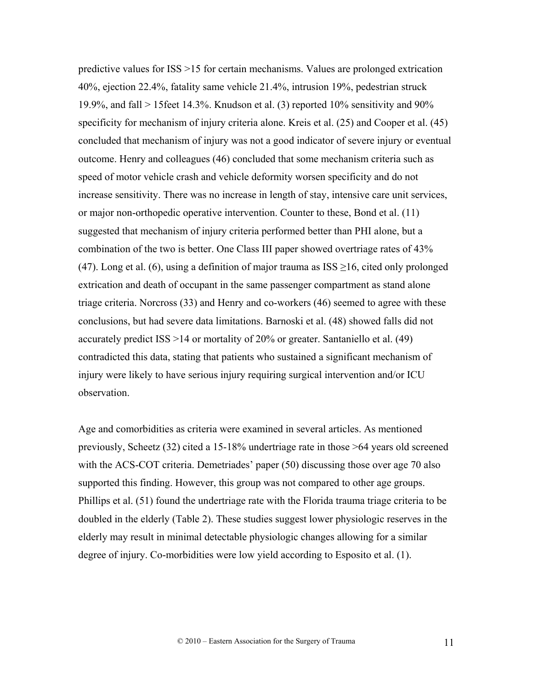predictive values for ISS >15 for certain mechanisms. Values are prolonged extrication 40%, ejection 22.4%, fatality same vehicle 21.4%, intrusion 19%, pedestrian struck 19.9%, and fall > 15feet 14.3%. Knudson et al. (3) reported 10% sensitivity and 90% specificity for mechanism of injury criteria alone. Kreis et al. (25) and Cooper et al. (45) concluded that mechanism of injury was not a good indicator of severe injury or eventual outcome. Henry and colleagues (46) concluded that some mechanism criteria such as speed of motor vehicle crash and vehicle deformity worsen specificity and do not increase sensitivity. There was no increase in length of stay, intensive care unit services, or major non-orthopedic operative intervention. Counter to these, Bond et al. (11) suggested that mechanism of injury criteria performed better than PHI alone, but a combination of the two is better. One Class III paper showed overtriage rates of 43% (47). Long et al. (6), using a definition of major trauma as  $ISS \ge 16$ , cited only prolonged extrication and death of occupant in the same passenger compartment as stand alone triage criteria. Norcross (33) and Henry and co-workers (46) seemed to agree with these conclusions, but had severe data limitations. Barnoski et al. (48) showed falls did not accurately predict ISS >14 or mortality of 20% or greater. Santaniello et al. (49) contradicted this data, stating that patients who sustained a significant mechanism of injury were likely to have serious injury requiring surgical intervention and/or ICU observation.

Age and comorbidities as criteria were examined in several articles. As mentioned previously, Scheetz (32) cited a 15-18% undertriage rate in those >64 years old screened with the ACS-COT criteria. Demetriades' paper (50) discussing those over age 70 also supported this finding. However, this group was not compared to other age groups. Phillips et al. (51) found the undertriage rate with the Florida trauma triage criteria to be doubled in the elderly (Table 2). These studies suggest lower physiologic reserves in the elderly may result in minimal detectable physiologic changes allowing for a similar degree of injury. Co-morbidities were low yield according to Esposito et al. (1).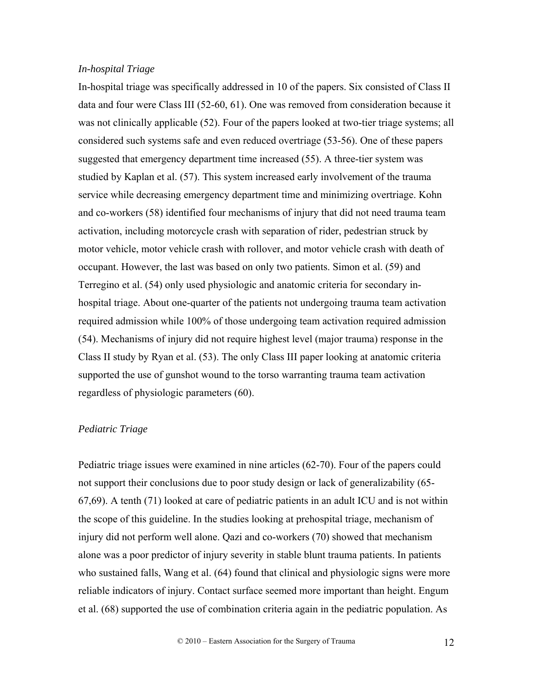## *In-hospital Triage*

In-hospital triage was specifically addressed in 10 of the papers. Six consisted of Class II data and four were Class III (52-60, 61). One was removed from consideration because it was not clinically applicable (52). Four of the papers looked at two-tier triage systems; all considered such systems safe and even reduced overtriage (53-56). One of these papers suggested that emergency department time increased (55). A three-tier system was studied by Kaplan et al. (57). This system increased early involvement of the trauma service while decreasing emergency department time and minimizing overtriage. Kohn and co-workers (58) identified four mechanisms of injury that did not need trauma team activation, including motorcycle crash with separation of rider, pedestrian struck by motor vehicle, motor vehicle crash with rollover, and motor vehicle crash with death of occupant. However, the last was based on only two patients. Simon et al. (59) and Terregino et al. (54) only used physiologic and anatomic criteria for secondary inhospital triage. About one-quarter of the patients not undergoing trauma team activation required admission while 100% of those undergoing team activation required admission (54). Mechanisms of injury did not require highest level (major trauma) response in the Class II study by Ryan et al. (53). The only Class III paper looking at anatomic criteria supported the use of gunshot wound to the torso warranting trauma team activation regardless of physiologic parameters (60).

#### *Pediatric Triage*

Pediatric triage issues were examined in nine articles (62-70). Four of the papers could not support their conclusions due to poor study design or lack of generalizability (65- 67,69). A tenth (71) looked at care of pediatric patients in an adult ICU and is not within the scope of this guideline. In the studies looking at prehospital triage, mechanism of injury did not perform well alone. Qazi and co-workers (70) showed that mechanism alone was a poor predictor of injury severity in stable blunt trauma patients. In patients who sustained falls, Wang et al. (64) found that clinical and physiologic signs were more reliable indicators of injury. Contact surface seemed more important than height. Engum et al. (68) supported the use of combination criteria again in the pediatric population. As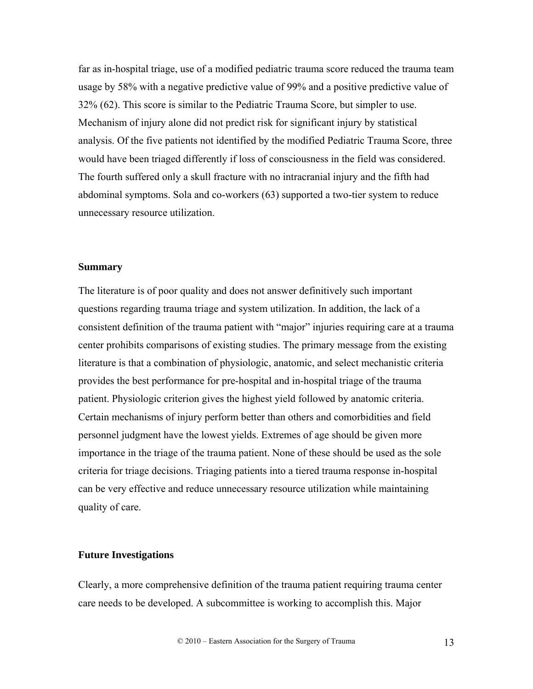far as in-hospital triage, use of a modified pediatric trauma score reduced the trauma team usage by 58% with a negative predictive value of 99% and a positive predictive value of 32% (62). This score is similar to the Pediatric Trauma Score, but simpler to use. Mechanism of injury alone did not predict risk for significant injury by statistical analysis. Of the five patients not identified by the modified Pediatric Trauma Score, three would have been triaged differently if loss of consciousness in the field was considered. The fourth suffered only a skull fracture with no intracranial injury and the fifth had abdominal symptoms. Sola and co-workers (63) supported a two-tier system to reduce unnecessary resource utilization.

#### **Summary**

The literature is of poor quality and does not answer definitively such important questions regarding trauma triage and system utilization. In addition, the lack of a consistent definition of the trauma patient with "major" injuries requiring care at a trauma center prohibits comparisons of existing studies. The primary message from the existing literature is that a combination of physiologic, anatomic, and select mechanistic criteria provides the best performance for pre-hospital and in-hospital triage of the trauma patient. Physiologic criterion gives the highest yield followed by anatomic criteria. Certain mechanisms of injury perform better than others and comorbidities and field personnel judgment have the lowest yields. Extremes of age should be given more importance in the triage of the trauma patient. None of these should be used as the sole criteria for triage decisions. Triaging patients into a tiered trauma response in-hospital can be very effective and reduce unnecessary resource utilization while maintaining quality of care.

### **Future Investigations**

Clearly, a more comprehensive definition of the trauma patient requiring trauma center care needs to be developed. A subcommittee is working to accomplish this. Major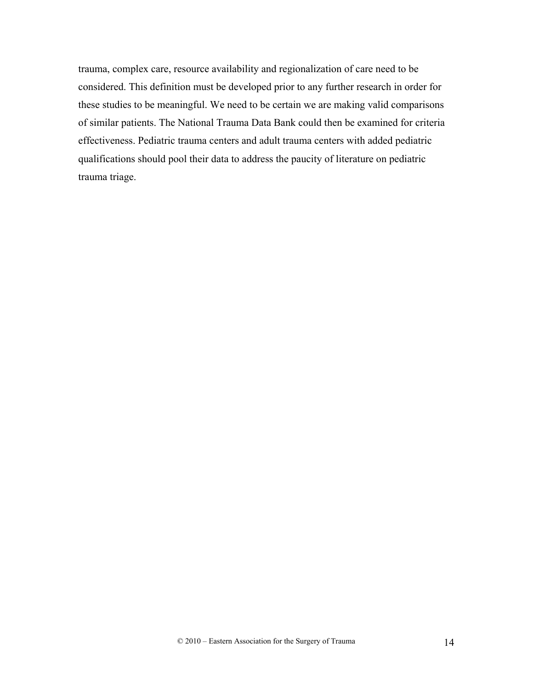trauma, complex care, resource availability and regionalization of care need to be considered. This definition must be developed prior to any further research in order for these studies to be meaningful. We need to be certain we are making valid comparisons of similar patients. The National Trauma Data Bank could then be examined for criteria effectiveness. Pediatric trauma centers and adult trauma centers with added pediatric qualifications should pool their data to address the paucity of literature on pediatric trauma triage.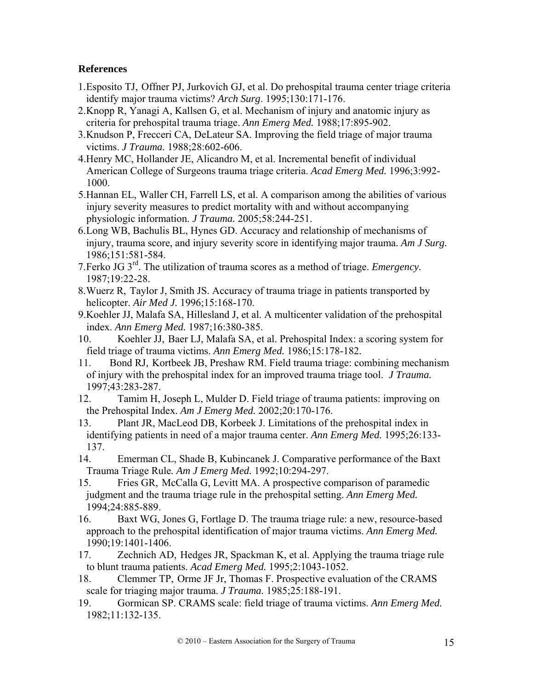# **References**

- 1.Esposito TJ, Offner PJ, Jurkovich GJ, et al. Do prehospital trauma center triage criteria identify major trauma victims? *Arch Surg*. 1995;130:171-176.
- 2.Knopp R, Yanagi A, Kallsen G, et al. Mechanism of injury and anatomic injury as criteria for prehospital trauma triage. *Ann Emerg Med.* 1988;17:895-902.
- 3.Knudson P, Frecceri CA, DeLateur SA. Improving the field triage of major trauma victims. *J Trauma.* 1988;28:602-606.
- 4.Henry MC, Hollander JE, Alicandro M, et al. Incremental benefit of individual American College of Surgeons trauma triage criteria. *Acad Emerg Med.* 1996;3:992- 1000.
- 5.Hannan EL, Waller CH, Farrell LS, et al. A comparison among the abilities of various injury severity measures to predict mortality with and without accompanying physiologic information. *J Trauma.* 2005;58:244-251.
- 6.Long WB, Bachulis BL, Hynes GD. Accuracy and relationship of mechanisms of injury, trauma score, and injury severity score in identifying major trauma. *Am J Surg.* 1986;151:581-584.
- 7.Ferko JG 3rd. The utilization of trauma scores as a method of triage. *Emergency.* 1987;19:22-28.
- 8.Wuerz R, Taylor J, Smith JS. Accuracy of trauma triage in patients transported by helicopter. *Air Med J.* 1996;15:168-170.
- 9.Koehler JJ, Malafa SA, Hillesland J, et al. A multicenter validation of the prehospital index. *Ann Emerg Med.* 1987;16:380-385.
- 10. Koehler JJ, Baer LJ, Malafa SA, et al. Prehospital Index: a scoring system for field triage of trauma victims. *Ann Emerg Med.* 1986;15:178-182.
- 11. Bond RJ, Kortbeek JB, Preshaw RM. Field trauma triage: combining mechanism of injury with the prehospital index for an improved trauma triage tool. *J Trauma.* 1997;43:283-287.
- 12. Tamim H, Joseph L, Mulder D. Field triage of trauma patients: improving on the Prehospital Index. *Am J Emerg Med.* 2002;20:170-176.
- 13. Plant JR, MacLeod DB, Korbeek J. Limitations of the prehospital index in identifying patients in need of a major trauma center. *Ann Emerg Med.* 1995;26:133- 137.
- 14. Emerman CL, Shade B, Kubincanek J. Comparative performance of the Baxt Trauma Triage Rule*. Am J Emerg Med.* 1992;10:294-297.
- 15. Fries GR, McCalla G, Levitt MA. A prospective comparison of paramedic judgment and the trauma triage rule in the prehospital setting. *Ann Emerg Med.* 1994;24:885-889.
- 16. Baxt WG, Jones G, Fortlage D. The trauma triage rule: a new, resource-based approach to the prehospital identification of major trauma victims. *Ann Emerg Med.* 1990;19:1401-1406.
- 17. Zechnich AD, Hedges JR, Spackman K, et al. Applying the trauma triage rule to blunt trauma patients. *Acad Emerg Med.* 1995;2:1043-1052.
- 18. Clemmer TP, Orme JF Jr, Thomas F. Prospective evaluation of the CRAMS scale for triaging major trauma. *J Trauma.* 1985;25:188-191.
- 19. Gormican SP. CRAMS scale: field triage of trauma victims. *Ann Emerg Med.* 1982;11:132-135.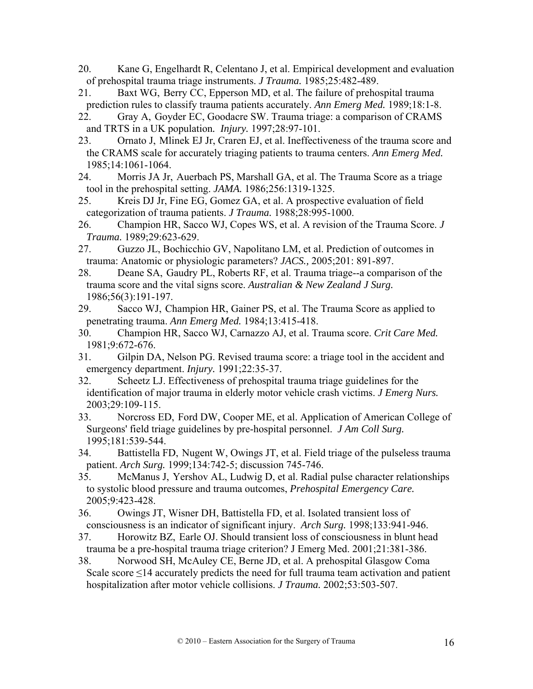- 20. Kane G, Engelhardt R, Celentano J, et al. Empirical development and evaluation of prehospital trauma triage instruments. *J Trauma.* 1985;25:482-489.
- 21. Baxt WG, Berry CC, Epperson MD, et al. The failure of prehospital trauma prediction rules to classify trauma patients accurately. *Ann Emerg Med.* 1989;18:1-8.
- 22. Gray A, Goyder EC, Goodacre SW. Trauma triage: a comparison of CRAMS and TRTS in a UK population*. Injury.* 1997;28:97-101.
- 23. Ornato J, Mlinek EJ Jr, Craren EJ, et al. Ineffectiveness of the trauma score and the CRAMS scale for accurately triaging patients to trauma centers. *Ann Emerg Med.* 1985;14:1061-1064.
- 24. Morris JA Jr, Auerbach PS, Marshall GA, et al. The Trauma Score as a triage tool in the prehospital setting. *JAMA.* 1986;256:1319-1325.
- 25. Kreis DJ Jr, Fine EG, Gomez GA, et al. A prospective evaluation of field categorization of trauma patients. *J Trauma.* 1988;28:995-1000.
- 26. Champion HR, Sacco WJ, Copes WS, et al. A revision of the Trauma Score. *J Trauma.* 1989;29:623-629.
- 27. Guzzo JL, Bochicchio GV, Napolitano LM, et al. Prediction of outcomes in trauma: Anatomic or physiologic parameters? *JACS.,* 2005;201: 891-897.
- 28. Deane SA, Gaudry PL, Roberts RF, et al. Trauma triage--a comparison of the trauma score and the vital signs score. *Australian & New Zealand J Surg.*  1986;56(3):191-197.
- 29. Sacco WJ, Champion HR, Gainer PS, et al. The Trauma Score as applied to penetrating trauma. *Ann Emerg Med.* 1984;13:415-418.
- 30. Champion HR, Sacco WJ, Carnazzo AJ, et al. Trauma score. *Crit Care Med.*  1981;9:672-676.
- 31. Gilpin DA, Nelson PG. Revised trauma score: a triage tool in the accident and emergency department. *Injury.* 1991;22:35-37.
- 32. Scheetz LJ. Effectiveness of prehospital trauma triage guidelines for the identification of major trauma in elderly motor vehicle crash victims. *J Emerg Nurs.* 2003;29:109-115.
- 33. Norcross ED, Ford DW, Cooper ME, et al. Application of American College of Surgeons' field triage guidelines by pre-hospital personnel. *J Am Coll Surg.* 1995;181:539-544.
- 34. Battistella FD, Nugent W, Owings JT, et al. Field triage of the pulseless trauma patient. *Arch Surg.* 1999;134:742-5; discussion 745-746.
- 35. McManus J, Yershov AL, Ludwig D, et al. Radial pulse character relationships to systolic blood pressure and trauma outcomes, *Prehospital Emergency Care.* 2005;9:423-428.
- 36. Owings JT, Wisner DH, Battistella FD, et al. Isolated transient loss of consciousness is an indicator of significant injury. *Arch Surg.* 1998;133:941-946.
- 37. Horowitz BZ, Earle OJ. Should transient loss of consciousness in blunt head trauma be a pre-hospital trauma triage criterion? J Emerg Med. 2001;21:381-386.
- 38. Norwood SH, McAuley CE, Berne JD, et al. A prehospital Glasgow Coma Scale score  $\leq$ 14 accurately predicts the need for full trauma team activation and patient hospitalization after motor vehicle collisions. *J Trauma.* 2002;53:503-507.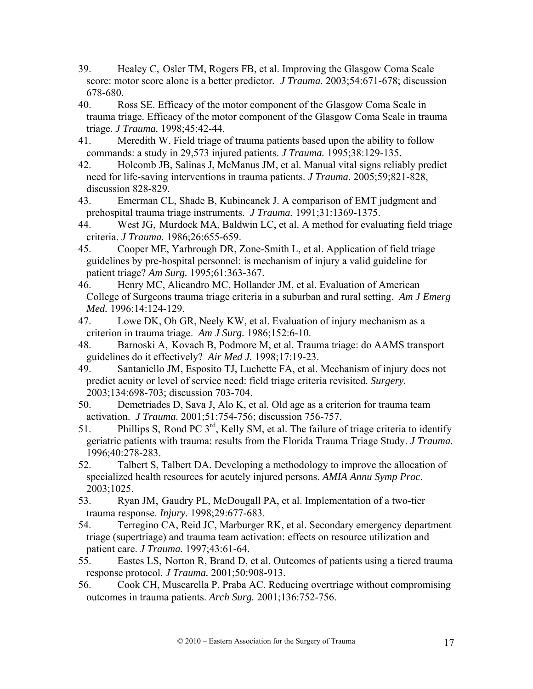- 39. Healey C, Osler TM, Rogers FB, et al. Improving the Glasgow Coma Scale score: motor score alone is a better predictor*. J Trauma.* 2003;54:671-678; discussion 678-680.
- 40. Ross SE. Efficacy of the motor component of the Glasgow Coma Scale in trauma triage. Efficacy of the motor component of the Glasgow Coma Scale in trauma triage. *J Trauma.* 1998;45:42-44.
- 41. Meredith W. Field triage of trauma patients based upon the ability to follow commands: a study in 29,573 injured patients. *J Trauma.* 1995;38:129-135.
- 42. Holcomb JB, Salinas J, McManus JM, et al. Manual vital signs reliably predict need for life-saving interventions in trauma patients. *J Trauma.* 2005;59;821-828, discussion 828-829.
- 43. Emerman CL, Shade B, Kubincanek J. A comparison of EMT judgment and prehospital trauma triage instruments. *J Trauma.* 1991;31:1369-1375.
- 44. West JG, Murdock MA, Baldwin LC, et al. A method for evaluating field triage criteria. *J Trauma.* 1986;26:655-659.
- 45. Cooper ME, Yarbrough DR, Zone-Smith L, et al. Application of field triage guidelines by pre-hospital personnel: is mechanism of injury a valid guideline for patient triage? *Am Surg.* 1995;61:363-367.
- 46. Henry MC, Alicandro MC, Hollander JM, et al. Evaluation of American College of Surgeons trauma triage criteria in a suburban and rural setting. *Am J Emerg Med.* 1996;14:124-129.
- 47. Lowe DK, Oh GR, Neely KW, et al. Evaluation of injury mechanism as a criterion in trauma triage. *Am J Surg.* 1986;152:6-10.
- 48. Barnoski A, Kovach B, Podmore M, et al. Trauma triage: do AAMS transport guidelines do it effectively? *Air Med J.* 1998;17:19-23.
- 49. Santaniello JM, Esposito TJ, Luchette FA, et al. Mechanism of injury does not predict acuity or level of service need: field triage criteria revisited. *Surgery.* 2003;134:698-703; discussion 703-704.
- 50. Demetriades D, Sava J, Alo K, et al. Old age as a criterion for trauma team activation. *J Trauma.* 2001;51:754-756; discussion 756-757.
- 51. Phillips S, Rond PC  $3^{rd}$ , Kelly SM, et al. The failure of triage criteria to identify geriatric patients with trauma: results from the Florida Trauma Triage Study. *J Trauma.* 1996;40:278-283.
- 52. Talbert S, Talbert DA. Developing a methodology to improve the allocation of specialized health resources for acutely injured persons. *AMIA Annu Symp Proc*. 2003;1025.
- 53. Ryan JM, Gaudry PL, McDougall PA, et al. Implementation of a two-tier trauma response. *Injury.* 1998;29:677-683.
- 54. Terregino CA, Reid JC, Marburger RK, et al. Secondary emergency department triage (supertriage) and trauma team activation: effects on resource utilization and patient care. *J Trauma.* 1997;43:61-64.
- 55. Eastes LS, Norton R, Brand D, et al. Outcomes of patients using a tiered trauma response protocol. *J Trauma.* 2001;50:908-913.
- 56. Cook CH, Muscarella P, Praba AC. Reducing overtriage without compromising outcomes in trauma patients. *Arch Surg.* 2001;136:752-756.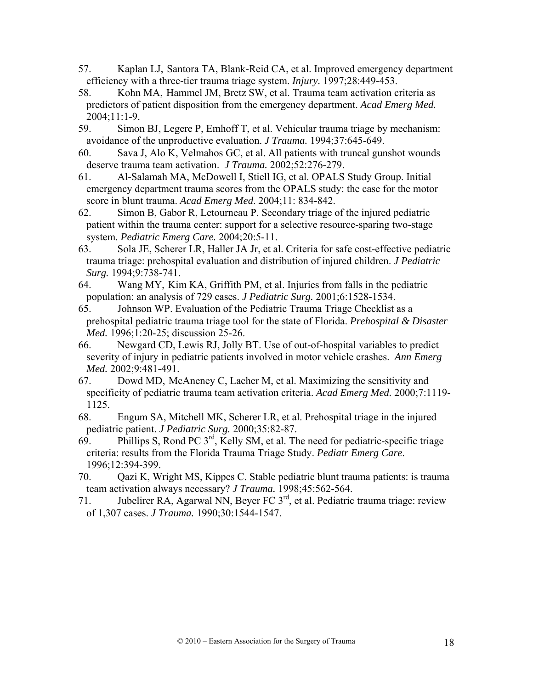- 57. Kaplan LJ, Santora TA, Blank-Reid CA, et al. Improved emergency department efficiency with a three-tier trauma triage system. *Injury.* 1997;28:449-453.
- 58. Kohn MA, Hammel JM, Bretz SW, et al. Trauma team activation criteria as predictors of patient disposition from the emergency department. *Acad Emerg Med.* 2004;11:1-9.
- 59. Simon BJ, Legere P, Emhoff T, et al. Vehicular trauma triage by mechanism: avoidance of the unproductive evaluation. *J Trauma.* 1994;37:645-649.
- 60. Sava J, Alo K, Velmahos GC, et al. All patients with truncal gunshot wounds deserve trauma team activation. *J Trauma.* 2002;52:276-279.
- 61. Al-Salamah MA, McDowell I, Stiell IG, et al. OPALS Study Group. Initial emergency department trauma scores from the OPALS study: the case for the motor score in blunt trauma. *Acad Emerg Med*. 2004;11: 834-842.
- 62. Simon B, Gabor R, Letourneau P. Secondary triage of the injured pediatric patient within the trauma center: support for a selective resource-sparing two-stage system. *Pediatric Emerg Care.* 2004;20:5-11.
- 63. Sola JE, Scherer LR, Haller JA Jr, et al. Criteria for safe cost-effective pediatric trauma triage: prehospital evaluation and distribution of injured children. *J Pediatric Surg.* 1994;9:738-741.
- 64. Wang MY, Kim KA, Griffith PM, et al. Injuries from falls in the pediatric population: an analysis of 729 cases. *J Pediatric Surg.* 2001;6:1528-1534.
- 65. Johnson WP. Evaluation of the Pediatric Trauma Triage Checklist as a prehospital pediatric trauma triage tool for the state of Florida. *Prehospital & Disaster Med.* 1996;1:20-25; discussion 25-26.
- 66. Newgard CD, Lewis RJ, Jolly BT. Use of out-of-hospital variables to predict severity of injury in pediatric patients involved in motor vehicle crashes. *Ann Emerg Med.* 2002;9:481-491.
- 67. Dowd MD, McAneney C, Lacher M, et al. Maximizing the sensitivity and specificity of pediatric trauma team activation criteria. *Acad Emerg Med.* 2000;7:1119- 1125.
- 68. Engum SA, Mitchell MK, Scherer LR, et al. Prehospital triage in the injured pediatric patient. *J Pediatric Surg.* 2000;35:82-87.
- 69. Phillips S, Rond PC  $3<sup>rd</sup>$ , Kelly SM, et al. The need for pediatric-specific triage criteria: results from the Florida Trauma Triage Study. *Pediatr Emerg Care*. 1996;12:394-399.
- 70. Qazi K, Wright MS, Kippes C. Stable pediatric blunt trauma patients: is trauma team activation always necessary? *J Trauma.* 1998;45:562-564.
- 71. Jubelirer RA, Agarwal NN, Beyer FC  $3<sup>rd</sup>$ , et al. Pediatric trauma triage: review of 1,307 cases. *J Trauma.* 1990;30:1544-1547.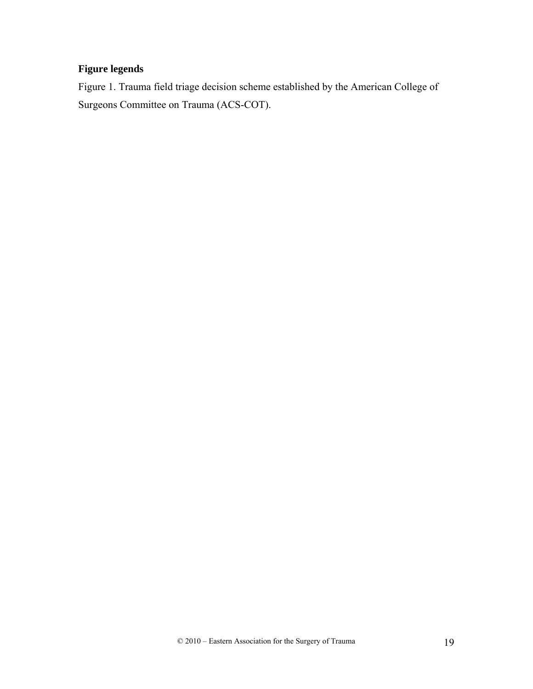# **Figure legends**

Figure 1. Trauma field triage decision scheme established by the American College of Surgeons Committee on Trauma (ACS-COT).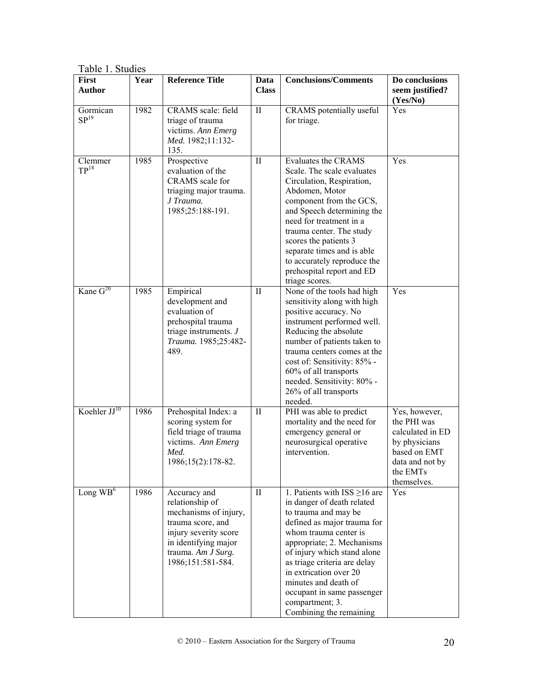| <b>First</b><br><b>Author</b> | Year | <b>Reference Title</b>                                                                                                                                                    | Data<br><b>Class</b> | <b>Conclusions/Comments</b>                                                                                                                                                                                                                                                                                                                                                | Do conclusions<br>seem justified?<br>(Yes/No)                                                                                   |
|-------------------------------|------|---------------------------------------------------------------------------------------------------------------------------------------------------------------------------|----------------------|----------------------------------------------------------------------------------------------------------------------------------------------------------------------------------------------------------------------------------------------------------------------------------------------------------------------------------------------------------------------------|---------------------------------------------------------------------------------------------------------------------------------|
| Gormican<br>SP <sup>19</sup>  | 1982 | CRAMS scale: field<br>triage of trauma<br>victims. Ann Emerg<br>Med. 1982;11:132-<br>135.                                                                                 | $\mathbf{I}$         | CRAMS potentially useful<br>for triage.                                                                                                                                                                                                                                                                                                                                    | Yes                                                                                                                             |
| Clemmer<br>TP <sup>18</sup>   | 1985 | Prospective<br>evaluation of the<br>CRAMS scale for<br>triaging major trauma.<br>J Trauma.<br>1985;25:188-191.                                                            | $\mathbf{I}$         | <b>Evaluates the CRAMS</b><br>Scale. The scale evaluates<br>Circulation, Respiration,<br>Abdomen, Motor<br>component from the GCS,<br>and Speech determining the<br>need for treatment in a<br>trauma center. The study<br>scores the patients 3<br>separate times and is able<br>to accurately reproduce the<br>prehospital report and ED<br>triage scores.               | Yes                                                                                                                             |
| Kane $\overline{G^{20}}$      | 1985 | Empirical<br>development and<br>evaluation of<br>prehospital trauma<br>triage instruments. $J$<br>Trauma. 1985;25:482-<br>489.                                            | $\mathbf{I}$         | None of the tools had high<br>sensitivity along with high<br>positive accuracy. No<br>instrument performed well.<br>Reducing the absolute<br>number of patients taken to<br>trauma centers comes at the<br>cost of: Sensitivity: 85% -<br>60% of all transports<br>needed. Sensitivity: 80% -<br>26% of all transports<br>needed.                                          | Yes                                                                                                                             |
| Koehler JJ <sup>10</sup>      | 1986 | Prehospital Index: a<br>scoring system for<br>field triage of trauma<br>victims. Ann Emerg<br>Med.<br>1986;15(2):178-82.                                                  | $\mathbf{I}$         | PHI was able to predict<br>mortality and the need for<br>emergency general or<br>neurosurgical operative<br>intervention.                                                                                                                                                                                                                                                  | Yes, however,<br>the PHI was<br>calculated in ED<br>by physicians<br>based on EMT<br>data and not by<br>the EMTs<br>themselves. |
| Long $WB^6$                   | 1986 | Accuracy and<br>relationship of<br>mechanisms of injury,<br>trauma score, and<br>injury severity score<br>in identifying major<br>trauma. Am J Surg.<br>1986;151:581-584. | $\mathbf{I}$         | 1. Patients with $ISS \ge 16$ are<br>in danger of death related<br>to trauma and may be<br>defined as major trauma for<br>whom trauma center is<br>appropriate; 2. Mechanisms<br>of injury which stand alone<br>as triage criteria are delay<br>in extrication over 20<br>minutes and death of<br>occupant in same passenger<br>compartment; 3.<br>Combining the remaining | Yes                                                                                                                             |

Table 1. Studies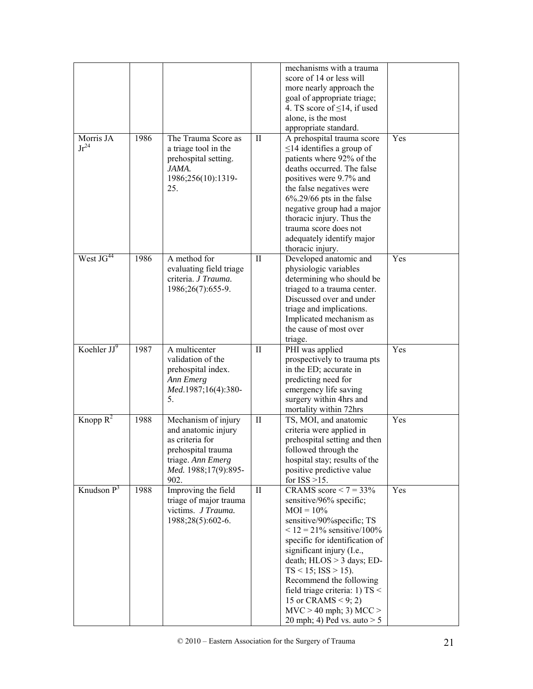|                       |      |                           |              | mechanisms with a trauma                                  |     |
|-----------------------|------|---------------------------|--------------|-----------------------------------------------------------|-----|
|                       |      |                           |              | score of 14 or less will                                  |     |
|                       |      |                           |              |                                                           |     |
|                       |      |                           |              | more nearly approach the                                  |     |
|                       |      |                           |              | goal of appropriate triage;                               |     |
|                       |      |                           |              | 4. TS score of $\leq$ 14, if used                         |     |
|                       |      |                           |              | alone, is the most                                        |     |
|                       |      |                           |              | appropriate standard.                                     |     |
| Morris JA             | 1986 | The Trauma Score as       | $\mathbf{I}$ | A prehospital trauma score                                | Yes |
| $Jr^{24}$             |      | a triage tool in the      |              | $\leq$ 14 identifies a group of                           |     |
|                       |      | prehospital setting.      |              | patients where 92% of the                                 |     |
|                       |      | JAMA.                     |              | deaths occurred. The false                                |     |
|                       |      | 1986;256(10):1319-        |              | positives were 9.7% and                                   |     |
|                       |      | 25.                       |              | the false negatives were                                  |     |
|                       |      |                           |              |                                                           |     |
|                       |      |                           |              | $6\%$ .29/66 pts in the false                             |     |
|                       |      |                           |              | negative group had a major                                |     |
|                       |      |                           |              | thoracic injury. Thus the                                 |     |
|                       |      |                           |              | trauma score does not                                     |     |
|                       |      |                           |              | adequately identify major                                 |     |
|                       |      |                           |              | thoracic injury.                                          |     |
| West JG <sup>44</sup> | 1986 | A method for              | $\rm II$     | Developed anatomic and                                    | Yes |
|                       |      | evaluating field triage   |              | physiologic variables                                     |     |
|                       |      | criteria. J Trauma.       |              | determining who should be                                 |     |
|                       |      | 1986;26(7):655-9.         |              | triaged to a trauma center.                               |     |
|                       |      |                           |              | Discussed over and under                                  |     |
|                       |      |                           |              | triage and implications.                                  |     |
|                       |      |                           |              | Implicated mechanism as                                   |     |
|                       |      |                           |              | the cause of most over                                    |     |
|                       |      |                           |              | triage.                                                   |     |
| Koehler $JJ^9$        | 1987 | A multicenter             | $\rm II$     | PHI was applied                                           | Yes |
|                       |      | validation of the         |              | prospectively to trauma pts                               |     |
|                       |      | prehospital index.        |              | in the ED; accurate in                                    |     |
|                       |      |                           |              | predicting need for                                       |     |
|                       |      | Ann Emerg                 |              |                                                           |     |
|                       |      | Med.1987;16(4):380-<br>5. |              | emergency life saving                                     |     |
|                       |      |                           |              | surgery within 4hrs and                                   |     |
|                       |      |                           |              | mortality within 72hrs                                    |     |
| Knopp $R^2$           | 1988 | Mechanism of injury       | $\mathbf{I}$ | TS, MOI, and anatomic                                     | Yes |
|                       |      | and anatomic injury       |              | criteria were applied in                                  |     |
|                       |      | as criteria for           |              | prehospital setting and then                              |     |
|                       |      | prehospital trauma        |              | followed through the                                      |     |
|                       |      | triage. Ann Emerg         |              | hospital stay; results of the                             |     |
|                       |      | Med. 1988;17(9):895-      |              | positive predictive value                                 |     |
|                       |      | 902.                      |              | for $ISS > 15$ .                                          |     |
| Knudson $P^3$         | 1988 | Improving the field       | $\mathbf{I}$ | CRAMS score $<$ 7 = 33%                                   | Yes |
|                       |      | triage of major trauma    |              | sensitive/96% specific;                                   |     |
|                       |      | victims. J Trauma.        |              | $MOI = 10%$                                               |     |
|                       |      | 1988;28(5):602-6.         |              | sensitive/90% specific; TS                                |     |
|                       |      |                           |              | $<$ 12 = 21% sensitive/100%                               |     |
|                       |      |                           |              | specific for identification of                            |     |
|                       |      |                           |              | significant injury (I.e.,                                 |     |
|                       |      |                           |              | death; $HLOS > 3$ days; $ED-$                             |     |
|                       |      |                           |              | $TS < 15$ ; $ISS > 15$ ).                                 |     |
|                       |      |                           |              | Recommend the following                                   |     |
|                       |      |                           |              |                                                           |     |
|                       |      |                           |              |                                                           |     |
|                       |      |                           |              | field triage criteria: 1) TS $<$                          |     |
|                       |      |                           |              | 15 or CRAMS < 9; 2)                                       |     |
|                       |      |                           |              | $MVC > 40$ mph; 3) MCC ><br>20 mph; 4) Ped vs. auto $> 5$ |     |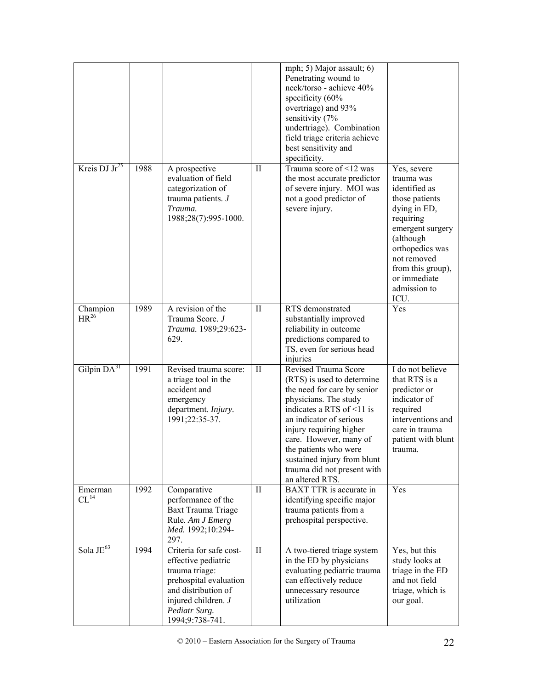|                                |      |                                                                                                                                                                              |              | mph; 5) Major assault; 6)<br>Penetrating wound to<br>neck/torso - achieve 40%<br>specificity (60%<br>overtriage) and 93%<br>sensitivity (7%<br>undertriage). Combination<br>field triage criteria achieve<br>best sensitivity and<br>specificity.                                                                                 |                                                                                                                                                                                                                           |
|--------------------------------|------|------------------------------------------------------------------------------------------------------------------------------------------------------------------------------|--------------|-----------------------------------------------------------------------------------------------------------------------------------------------------------------------------------------------------------------------------------------------------------------------------------------------------------------------------------|---------------------------------------------------------------------------------------------------------------------------------------------------------------------------------------------------------------------------|
| Kreis DJ $Jr^{25}$             | 1988 | A prospective<br>evaluation of field<br>categorization of<br>trauma patients. $J$<br>Trauma.<br>1988;28(7):995-1000.                                                         | $\mathbf{I}$ | Trauma score of <12 was<br>the most accurate predictor<br>of severe injury. MOI was<br>not a good predictor of<br>severe injury.                                                                                                                                                                                                  | Yes, severe<br>trauma was<br>identified as<br>those patients<br>dying in ED,<br>requiring<br>emergent surgery<br>(although<br>orthopedics was<br>not removed<br>from this group),<br>or immediate<br>admission to<br>ICU. |
| Champion<br>$\mathrm{HR}^{26}$ | 1989 | A revision of the<br>Trauma Score. J<br>Trauma. 1989;29:623-<br>629.                                                                                                         | $\mathbf{I}$ | RTS demonstrated<br>substantially improved<br>reliability in outcome<br>predictions compared to<br>TS, even for serious head<br>injuries                                                                                                                                                                                          | Yes                                                                                                                                                                                                                       |
| Gilpin DA <sup>31</sup>        | 1991 | Revised trauma score:<br>a triage tool in the<br>accident and<br>emergency<br>department. Injury.<br>1991;22:35-37.                                                          | $\mathbf{I}$ | Revised Trauma Score<br>(RTS) is used to determine<br>the need for care by senior<br>physicians. The study<br>indicates a RTS of <11 is<br>an indicator of serious<br>injury requiring higher<br>care. However, many of<br>the patients who were<br>sustained injury from blunt<br>trauma did not present with<br>an altered RTS. | I do not believe<br>that RTS is a<br>predictor or<br>indicator of<br>required<br>interventions and<br>care in trauma<br>patient with blunt<br>trauma.                                                                     |
| Emerman<br>CL <sup>14</sup>    | 1992 | Comparative<br>performance of the<br>Baxt Trauma Triage<br>Rule. Am J Emerg<br>Med. 1992;10:294-<br>297.                                                                     | $\rm II$     | <b>BAXT TTR</b> is accurate in<br>identifying specific major<br>trauma patients from a<br>prehospital perspective.                                                                                                                                                                                                                | Yes                                                                                                                                                                                                                       |
| Sola JE <sup>63</sup>          | 1994 | Criteria for safe cost-<br>effective pediatric<br>trauma triage:<br>prehospital evaluation<br>and distribution of<br>injured children. J<br>Pediatr Surg.<br>1994;9:738-741. | $\rm II$     | A two-tiered triage system<br>in the ED by physicians<br>evaluating pediatric trauma<br>can effectively reduce<br>unnecessary resource<br>utilization                                                                                                                                                                             | Yes, but this<br>study looks at<br>triage in the ED<br>and not field<br>triage, which is<br>our goal.                                                                                                                     |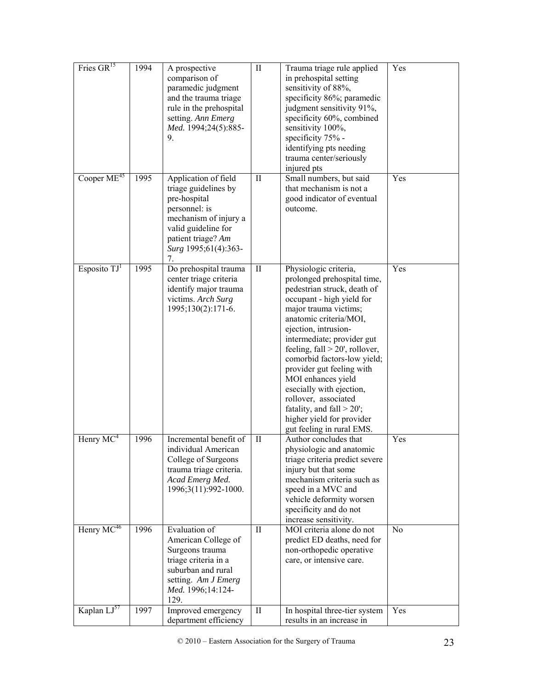| Fries GR <sup>15</sup> | 1994 | A prospective<br>comparison of<br>paramedic judgment<br>and the trauma triage<br>rule in the prehospital<br>setting. Ann Emerg<br>Med. 1994;24(5):885-<br>9.                      | $\mathbf{I}$ | Trauma triage rule applied<br>in prehospital setting<br>sensitivity of 88%,<br>specificity 86%; paramedic<br>judgment sensitivity 91%,<br>specificity 60%, combined<br>sensitivity 100%,<br>specificity 75% -<br>identifying pts needing<br>trauma center/seriously<br>injured pts                                                                                                                                                                                                            | Yes            |
|------------------------|------|-----------------------------------------------------------------------------------------------------------------------------------------------------------------------------------|--------------|-----------------------------------------------------------------------------------------------------------------------------------------------------------------------------------------------------------------------------------------------------------------------------------------------------------------------------------------------------------------------------------------------------------------------------------------------------------------------------------------------|----------------|
| Cooper $ME^{45}$       | 1995 | Application of field<br>triage guidelines by<br>pre-hospital<br>personnel: is<br>mechanism of injury a<br>valid guideline for<br>patient triage? Am<br>Surg 1995;61(4):363-<br>7. | $\rm II$     | Small numbers, but said<br>that mechanism is not a<br>good indicator of eventual<br>outcome.                                                                                                                                                                                                                                                                                                                                                                                                  | Yes            |
| Esposito $TJ1$         | 1995 | Do prehospital trauma<br>center triage criteria<br>identify major trauma<br>victims. Arch Surg<br>1995;130(2):171-6.                                                              | $\mathbf{I}$ | Physiologic criteria,<br>prolonged prehospital time,<br>pedestrian struck, death of<br>occupant - high yield for<br>major trauma victims;<br>anatomic criteria/MOI,<br>ejection, intrusion-<br>intermediate; provider gut<br>feeling, $fall > 20'$ , rollover,<br>comorbid factors-low yield;<br>provider gut feeling with<br>MOI enhances yield<br>esecially with ejection,<br>rollover, associated<br>fatality, and fall $>$ 20';<br>higher yield for provider<br>gut feeling in rural EMS. | Yes            |
| Henry $MC^4$           | 1996 | Incremental benefit of<br>individual American<br>College of Surgeons<br>trauma triage criteria.<br>Acad Emerg Med.<br>1996;3(11):992-1000.                                        | $\mathbf{I}$ | Author concludes that<br>physiologic and anatomic<br>triage criteria predict severe<br>injury but that some<br>mechanism criteria such as<br>speed in a MVC and<br>vehicle deformity worsen<br>specificity and do not<br>increase sensitivity.                                                                                                                                                                                                                                                | Yes            |
| Henry MC <sup>46</sup> | 1996 | Evaluation of<br>American College of<br>Surgeons trauma<br>triage criteria in a<br>suburban and rural<br>setting. Am J Emerg<br>Med. 1996;14:124-<br>129.                         | $\mathbf{I}$ | MOI criteria alone do not<br>predict ED deaths, need for<br>non-orthopedic operative<br>care, or intensive care.                                                                                                                                                                                                                                                                                                                                                                              | N <sub>o</sub> |
| Kaplan $LJ^{57}$       | 1997 | Improved emergency<br>department efficiency                                                                                                                                       | $\rm II$     | In hospital three-tier system<br>results in an increase in                                                                                                                                                                                                                                                                                                                                                                                                                                    | Yes            |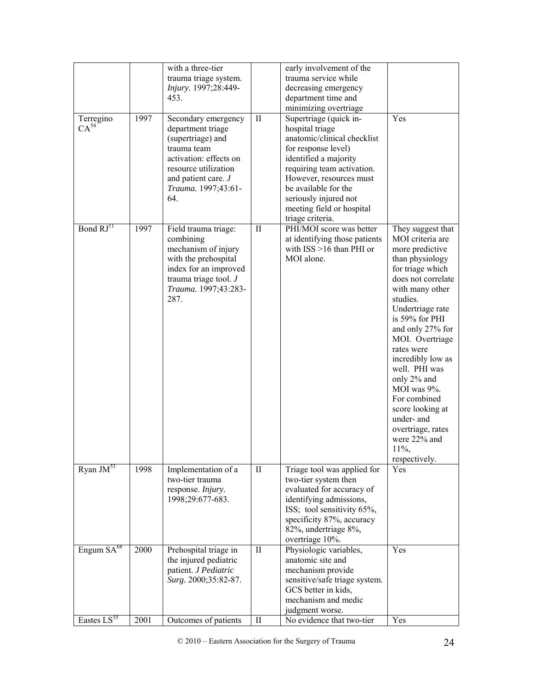| Terregino<br>$CA^{54}$ | 1997 | with a three-tier<br>trauma triage system.<br>Injury. 1997;28:449-<br>453.<br>Secondary emergency<br>department triage<br>(supertriage) and<br>trauma team<br>activation: effects on<br>resource utilization<br>and patient care. J<br>Trauma. 1997;43:61-<br>64. | $\mathbf{I}$ | early involvement of the<br>trauma service while<br>decreasing emergency<br>department time and<br>minimizing overtriage<br>Supertriage (quick in-<br>hospital triage<br>anatomic/clinical checklist<br>for response level)<br>identified a majority<br>requiring team activation.<br>However, resources must<br>be available for the<br>seriously injured not<br>meeting field or hospital<br>triage criteria. | Yes                                                                                                                                                                                                                                                                                                                                                                                                                                    |
|------------------------|------|-------------------------------------------------------------------------------------------------------------------------------------------------------------------------------------------------------------------------------------------------------------------|--------------|-----------------------------------------------------------------------------------------------------------------------------------------------------------------------------------------------------------------------------------------------------------------------------------------------------------------------------------------------------------------------------------------------------------------|----------------------------------------------------------------------------------------------------------------------------------------------------------------------------------------------------------------------------------------------------------------------------------------------------------------------------------------------------------------------------------------------------------------------------------------|
| Bond RJ <sup>11</sup>  | 1997 | Field trauma triage:<br>combining<br>mechanism of injury<br>with the prehospital<br>index for an improved<br>trauma triage tool. $J$<br>Trauma. 1997;43:283-<br>287.                                                                                              | $\mathbf{I}$ | PHI/MOI score was better<br>at identifying those patients<br>with ISS >16 than PHI or<br>MOI alone.                                                                                                                                                                                                                                                                                                             | They suggest that<br>MOI criteria are<br>more predictive<br>than physiology<br>for triage which<br>does not correlate<br>with many other<br>studies.<br>Undertriage rate<br>is 59% for PHI<br>and only 27% for<br>MOI. Overtriage<br>rates were<br>incredibly low as<br>well. PHI was<br>only 2% and<br>MOI was 9%.<br>For combined<br>score looking at<br>under- and<br>overtriage, rates<br>were 22% and<br>$11\%,$<br>respectively. |
| Ryan $JM^{53}$         | 1998 | Implementation of a<br>two-tier trauma<br>response. Injury.<br>1998;29:677-683.                                                                                                                                                                                   | $\mathbf{I}$ | Triage tool was applied for<br>two-tier system then<br>evaluated for accuracy of<br>identifying admissions,<br>ISS; tool sensitivity 65%,<br>specificity 87%, accuracy<br>82%, undertriage 8%,<br>overtriage 10%.                                                                                                                                                                                               | Yes                                                                                                                                                                                                                                                                                                                                                                                                                                    |
| Engum SA <sup>68</sup> | 2000 | Prehospital triage in<br>the injured pediatric<br>patient. J Pediatric<br>Surg. 2000;35:82-87.                                                                                                                                                                    | $\mathbf{I}$ | Physiologic variables,<br>anatomic site and<br>mechanism provide<br>sensitive/safe triage system.<br>GCS better in kids,<br>mechanism and medic<br>judgment worse.                                                                                                                                                                                                                                              | Yes                                                                                                                                                                                                                                                                                                                                                                                                                                    |
| Eastes $LS^{55}$       | 2001 | Outcomes of patients                                                                                                                                                                                                                                              | $\mathbf{I}$ | No evidence that two-tier                                                                                                                                                                                                                                                                                                                                                                                       | Yes                                                                                                                                                                                                                                                                                                                                                                                                                                    |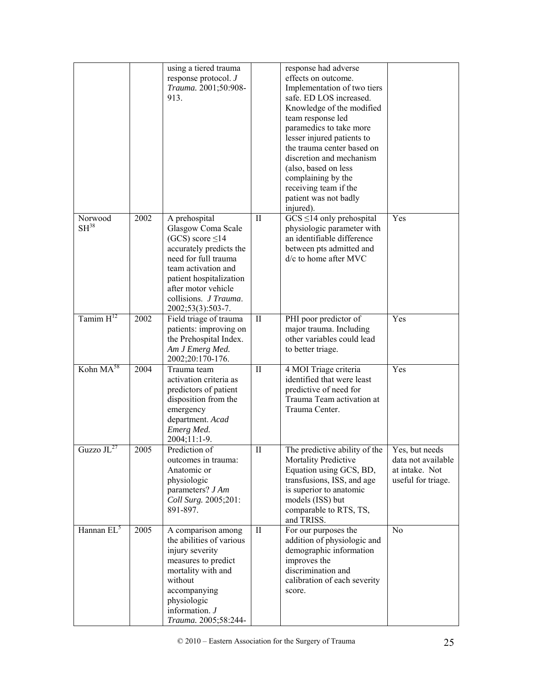|                            |      | using a tiered trauma<br>response protocol. $J$<br>Trauma. 2001;50:908-<br>913.                                                                                                                                                        |              | response had adverse<br>effects on outcome.<br>Implementation of two tiers<br>safe. ED LOS increased.<br>Knowledge of the modified<br>team response led<br>paramedics to take more<br>lesser injured patients to<br>the trauma center based on<br>discretion and mechanism<br>(also, based on less<br>complaining by the<br>receiving team if the<br>patient was not badly |                                                            |
|----------------------------|------|----------------------------------------------------------------------------------------------------------------------------------------------------------------------------------------------------------------------------------------|--------------|----------------------------------------------------------------------------------------------------------------------------------------------------------------------------------------------------------------------------------------------------------------------------------------------------------------------------------------------------------------------------|------------------------------------------------------------|
| Norwood<br>$SH^{38}$       | 2002 | A prehospital<br>Glasgow Coma Scale<br>(GCS) score $\leq$ 14<br>accurately predicts the<br>need for full trauma<br>team activation and<br>patient hospitalization<br>after motor vehicle<br>collisions. J Trauma.<br>2002;53(3):503-7. | $\mathbf{I}$ | injured).<br>$GCS \leq 14$ only prehospital<br>physiologic parameter with<br>an identifiable difference<br>between pts admitted and<br>d/c to home after MVC                                                                                                                                                                                                               | Yes                                                        |
| Tamim $H^{12}$             | 2002 | Field triage of trauma<br>patients: improving on<br>the Prehospital Index.<br>Am J Emerg Med.<br>2002;20:170-176.                                                                                                                      | $\mathbf{I}$ | PHI poor predictor of<br>major trauma. Including<br>other variables could lead<br>to better triage.                                                                                                                                                                                                                                                                        | Yes                                                        |
| Kohn MA <sup>58</sup>      | 2004 | Trauma team<br>activation criteria as<br>predictors of patient<br>disposition from the<br>emergency<br>department. Acad<br>Emerg Med.<br>2004;11:1-9.                                                                                  | $\mathbf{I}$ | 4 MOI Triage criteria<br>identified that were least<br>predictive of need for<br>Trauma Team activation at<br>Trauma Center.                                                                                                                                                                                                                                               | Yes                                                        |
| Guzzo $\overline{JL^{27}}$ | 2005 | Prediction of<br>outcomes in trauma:<br>Anatomic or<br>physiologic<br>parameters? J Am<br>Coll Surg. 2005;201:<br>891-897.                                                                                                             | П            | The predictive ability of the $\vert$ Yes, but needs<br><b>Mortality Predictive</b><br>Equation using GCS, BD,<br>transfusions, ISS, and age<br>is superior to anatomic<br>models (ISS) but<br>comparable to RTS, TS,<br>and TRISS.                                                                                                                                        | data not available<br>at intake. Not<br>useful for triage. |
| Hannan EL <sup>5</sup>     | 2005 | A comparison among<br>the abilities of various<br>injury severity<br>measures to predict<br>mortality with and<br>without<br>accompanying<br>physiologic<br>information. $J$<br>Trauma. 2005;58:244-                                   | $\rm II$     | For our purposes the<br>addition of physiologic and<br>demographic information<br>improves the<br>discrimination and<br>calibration of each severity<br>score.                                                                                                                                                                                                             | N <sub>0</sub>                                             |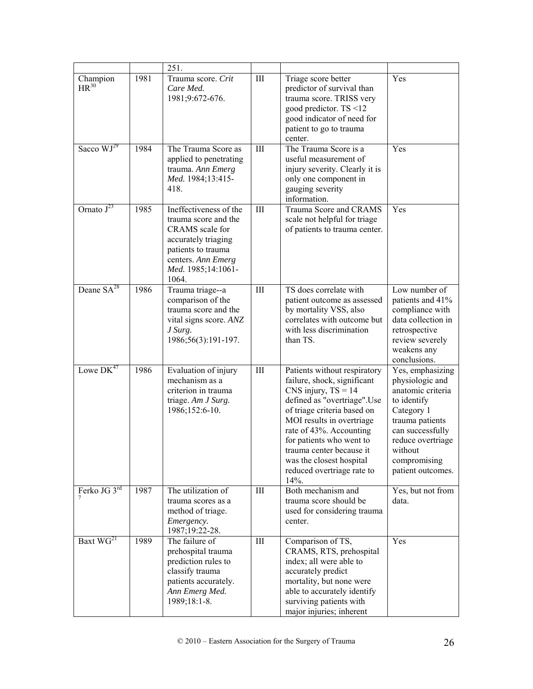|                           |      | 251.                                                                                                                                                                |     |                                                                                                                                                                                                                                                                                                                                       |                                                                                                                                                                                                   |
|---------------------------|------|---------------------------------------------------------------------------------------------------------------------------------------------------------------------|-----|---------------------------------------------------------------------------------------------------------------------------------------------------------------------------------------------------------------------------------------------------------------------------------------------------------------------------------------|---------------------------------------------------------------------------------------------------------------------------------------------------------------------------------------------------|
| Champion<br>$HR^{30}$     | 1981 | Trauma score. Crit<br>Care Med.<br>1981;9:672-676.                                                                                                                  | III | Triage score better<br>predictor of survival than<br>trauma score. TRISS very<br>good predictor. TS <12<br>good indicator of need for<br>patient to go to trauma<br>center.                                                                                                                                                           | Yes                                                                                                                                                                                               |
| Sacco $WJ29$              | 1984 | The Trauma Score as<br>applied to penetrating<br>trauma. Ann Emerg<br>Med. 1984;13:415-<br>418.                                                                     | III | The Trauma Score is a<br>useful measurement of<br>injury severity. Clearly it is<br>only one component in<br>gauging severity<br>information.                                                                                                                                                                                         | Yes                                                                                                                                                                                               |
| Ornato $J^{23}$           | 1985 | Ineffectiveness of the<br>trauma score and the<br>CRAMS scale for<br>accurately triaging<br>patients to trauma<br>centers. Ann Emerg<br>Med. 1985;14:1061-<br>1064. | III | Trauma Score and CRAMS<br>scale not helpful for triage<br>of patients to trauma center.                                                                                                                                                                                                                                               | Yes                                                                                                                                                                                               |
| Deane $SA^{28}$           | 1986 | Trauma triage--a<br>comparison of the<br>trauma score and the<br>vital signs score. ANZ<br>J Surg.<br>1986;56(3):191-197.                                           | III | TS does correlate with<br>patient outcome as assessed<br>by mortality VSS, also<br>correlates with outcome but<br>with less discrimination<br>than TS.                                                                                                                                                                                | Low number of<br>patients and 41%<br>compliance with<br>data collection in<br>retrospective<br>review severely<br>weakens any<br>conclusions.                                                     |
| Lowe $\overline{DK}^{47}$ | 1986 | Evaluation of injury<br>mechanism as a<br>criterion in trauma<br>triage. Am J Surg.<br>1986;152:6-10.                                                               | III | Patients without respiratory<br>failure, shock, significant<br>CNS injury, $TS = 14$<br>defined as "overtriage". Use<br>of triage criteria based on<br>MOI results in overtriage<br>rate of 43%. Accounting<br>for patients who went to<br>trauma center because it<br>was the closest hospital<br>reduced overtriage rate to<br>14%. | Yes, emphasizing<br>physiologic and<br>anatomic criteria<br>to identify<br>Category 1<br>trauma patients<br>can successfully<br>reduce overtriage<br>without<br>compromising<br>patient outcomes. |
| Ferko JG 3rd              | 1987 | The utilization of<br>trauma scores as a<br>method of triage.<br>Emergency.<br>1987;19:22-28.                                                                       | Ш   | Both mechanism and<br>trauma score should be<br>used for considering trauma<br>center.                                                                                                                                                                                                                                                | Yes, but not from<br>data.                                                                                                                                                                        |
| Baxt $\overline{WG^{21}}$ | 1989 | The failure of<br>prehospital trauma<br>prediction rules to<br>classify trauma<br>patients accurately.<br>Ann Emerg Med.<br>1989;18:1-8.                            | III | Comparison of TS,<br>CRAMS, RTS, prehospital<br>index; all were able to<br>accurately predict<br>mortality, but none were<br>able to accurately identify<br>surviving patients with<br>major injuries; inherent                                                                                                                       | Yes                                                                                                                                                                                               |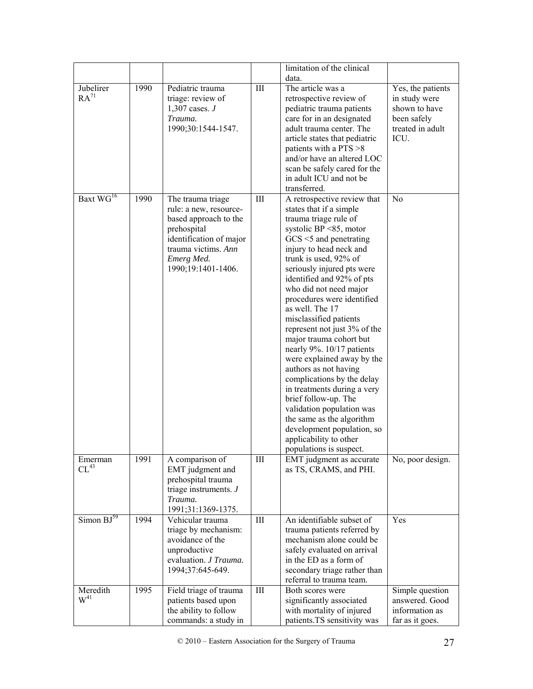|                            |      |                                                                                                                                                                           |     | limitation of the clinical                                                                                                                                                                                                                                                                                                                                                                                                                                                                                                                                                                                                                                                                                                                        |                                                                                                |
|----------------------------|------|---------------------------------------------------------------------------------------------------------------------------------------------------------------------------|-----|---------------------------------------------------------------------------------------------------------------------------------------------------------------------------------------------------------------------------------------------------------------------------------------------------------------------------------------------------------------------------------------------------------------------------------------------------------------------------------------------------------------------------------------------------------------------------------------------------------------------------------------------------------------------------------------------------------------------------------------------------|------------------------------------------------------------------------------------------------|
|                            |      |                                                                                                                                                                           |     | data.                                                                                                                                                                                                                                                                                                                                                                                                                                                                                                                                                                                                                                                                                                                                             |                                                                                                |
| Jubelirer<br>$RA^{71}$     | 1990 | Pediatric trauma<br>triage: review of<br>$1,307$ cases. J<br>Trauma.<br>1990;30:1544-1547.                                                                                | III | The article was a<br>retrospective review of<br>pediatric trauma patients<br>care for in an designated<br>adult trauma center. The<br>article states that pediatric<br>patients with a PTS >8<br>and/or have an altered LOC<br>scan be safely cared for the<br>in adult ICU and not be<br>transferred.                                                                                                                                                                                                                                                                                                                                                                                                                                            | Yes, the patients<br>in study were<br>shown to have<br>been safely<br>treated in adult<br>ICU. |
| Baxt WG <sup>16</sup>      | 1990 | The trauma triage<br>rule: a new, resource-<br>based approach to the<br>prehospital<br>identification of major<br>trauma victims. Ann<br>Emerg Med.<br>1990;19:1401-1406. | Ш   | A retrospective review that<br>states that if a simple<br>trauma triage rule of<br>systolic BP $\leq$ 85, motor<br>$GCS < 5$ and penetrating<br>injury to head neck and<br>trunk is used, 92% of<br>seriously injured pts were<br>identified and 92% of pts<br>who did not need major<br>procedures were identified<br>as well. The 17<br>misclassified patients<br>represent not just 3% of the<br>major trauma cohort but<br>nearly 9%. 10/17 patients<br>were explained away by the<br>authors as not having<br>complications by the delay<br>in treatments during a very<br>brief follow-up. The<br>validation population was<br>the same as the algorithm<br>development population, so<br>applicability to other<br>populations is suspect. | N <sub>0</sub>                                                                                 |
| Emerman<br>$CL^{43}$       | 1991 | A comparison of<br>EMT judgment and<br>prehospital trauma<br>triage instruments. $J$<br>Trauma.<br>1991;31:1369-1375.                                                     | Ш   | EMT judgment as accurate<br>as TS, CRAMS, and PHI.                                                                                                                                                                                                                                                                                                                                                                                                                                                                                                                                                                                                                                                                                                | No, poor design.                                                                               |
| Simon $\overline{BJ^{59}}$ | 1994 | Vehicular trauma<br>triage by mechanism:<br>avoidance of the<br>unproductive<br>evaluation. J Trauma.<br>1994;37:645-649.                                                 | Ш   | An identifiable subset of<br>trauma patients referred by<br>mechanism alone could be<br>safely evaluated on arrival<br>in the ED as a form of<br>secondary triage rather than<br>referral to trauma team.                                                                                                                                                                                                                                                                                                                                                                                                                                                                                                                                         | Yes                                                                                            |
| Meredith<br>$W^{41}$       | 1995 | Field triage of trauma<br>patients based upon<br>the ability to follow<br>commands: a study in                                                                            | Ш   | Both scores were<br>significantly associated<br>with mortality of injured<br>patients.TS sensitivity was                                                                                                                                                                                                                                                                                                                                                                                                                                                                                                                                                                                                                                          | Simple question<br>answered. Good<br>information as<br>far as it goes.                         |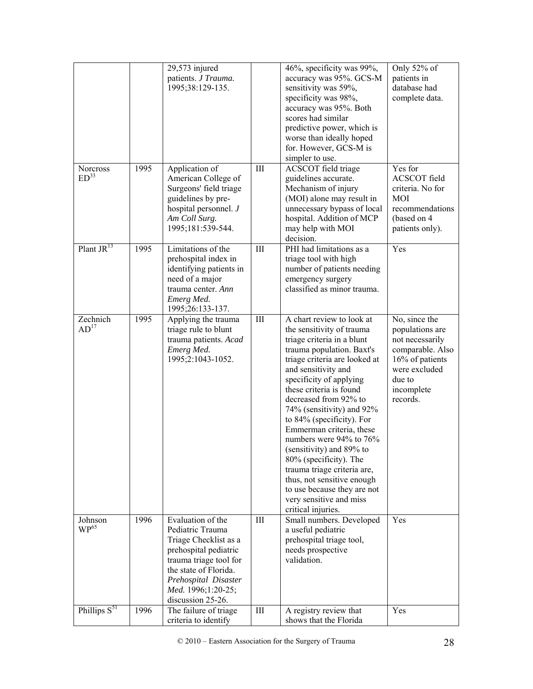| Norcross<br>ED <sup>33</sup> | 1995 | $29,573$ injured<br>patients. J Trauma.<br>1995;38:129-135.<br>Application of<br>American College of<br>Surgeons' field triage<br>guidelines by pre-                                                          | Ш         | 46%, specificity was 99%,<br>accuracy was 95%. GCS-M<br>sensitivity was 59%,<br>specificity was 98%,<br>accuracy was 95%. Both<br>scores had similar<br>predictive power, which is<br>worse than ideally hoped<br>for. However, GCS-M is<br>simpler to use.<br><b>ACSCOT</b> field triage<br>guidelines accurate.<br>Mechanism of injury<br>(MOI) alone may result in                                                                                                                                                                                                        | Only 52% of<br>patients in<br>database had<br>complete data.<br>Yes for<br><b>ACSCOT</b> field<br>criteria. No for<br><b>MOI</b>                |
|------------------------------|------|---------------------------------------------------------------------------------------------------------------------------------------------------------------------------------------------------------------|-----------|------------------------------------------------------------------------------------------------------------------------------------------------------------------------------------------------------------------------------------------------------------------------------------------------------------------------------------------------------------------------------------------------------------------------------------------------------------------------------------------------------------------------------------------------------------------------------|-------------------------------------------------------------------------------------------------------------------------------------------------|
|                              |      | hospital personnel. J<br>Am Coll Surg.<br>1995;181:539-544.                                                                                                                                                   |           | unnecessary bypass of local<br>hospital. Addition of MCP<br>may help with MOI<br>decision.                                                                                                                                                                                                                                                                                                                                                                                                                                                                                   | recommendations<br>(based on 4<br>patients only).                                                                                               |
| Plant $JR^{13}$              | 1995 | Limitations of the<br>prehospital index in<br>identifying patients in<br>need of a major<br>trauma center. Ann<br>Emerg Med.<br>1995;26:133-137.                                                              | Ш         | PHI had limitations as a<br>triage tool with high<br>number of patients needing<br>emergency surgery<br>classified as minor trauma.                                                                                                                                                                                                                                                                                                                                                                                                                                          | Yes                                                                                                                                             |
| Zechnich<br>AD <sup>17</sup> | 1995 | Applying the trauma<br>triage rule to blunt<br>trauma patients. Acad<br>Emerg Med.<br>1995;2:1043-1052.                                                                                                       | III       | A chart review to look at<br>the sensitivity of trauma<br>triage criteria in a blunt<br>trauma population. Baxt's<br>triage criteria are looked at<br>and sensitivity and<br>specificity of applying<br>these criteria is found<br>decreased from 92% to<br>74% (sensitivity) and 92%<br>to 84% (specificity). For<br>Emmerman criteria, these<br>numbers were 94% to 76%<br>(sensitivity) and 89% to<br>80% (specificity). The<br>trauma triage criteria are,<br>thus, not sensitive enough<br>to use because they are not<br>very sensitive and miss<br>critical injuries. | No, since the<br>populations are<br>not necessarily<br>comparable. Also<br>16% of patients<br>were excluded<br>due to<br>incomplete<br>records. |
| Johnson<br>$WP^{65}$         | 1996 | Evaluation of the<br>Pediatric Trauma<br>Triage Checklist as a<br>prehospital pediatric<br>trauma triage tool for<br>the state of Florida.<br>Prehospital Disaster<br>Med. 1996;1:20-25;<br>discussion 25-26. | $\rm III$ | Small numbers. Developed<br>a useful pediatric<br>prehospital triage tool,<br>needs prospective<br>validation.                                                                                                                                                                                                                                                                                                                                                                                                                                                               | Yes                                                                                                                                             |
| Phillips S <sup>51</sup>     | 1996 | The failure of triage<br>criteria to identify                                                                                                                                                                 | $\rm III$ | A registry review that<br>shows that the Florida                                                                                                                                                                                                                                                                                                                                                                                                                                                                                                                             | Yes                                                                                                                                             |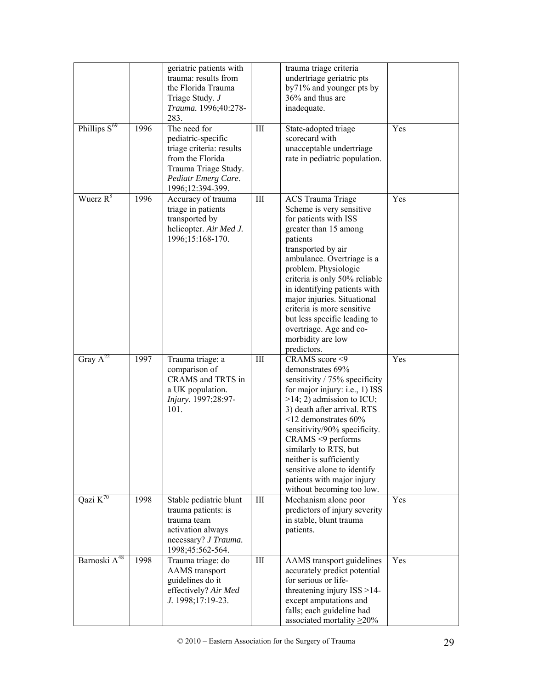|                          |      | geriatric patients with<br>trauma: results from<br>the Florida Trauma<br>Triage Study. J<br>Trauma. 1996;40:278-<br>283.                              |           | trauma triage criteria<br>undertriage geriatric pts<br>by71% and younger pts by<br>36% and thus are<br>inadequate.                                                                                                                                                                                                                                                                                                          |     |
|--------------------------|------|-------------------------------------------------------------------------------------------------------------------------------------------------------|-----------|-----------------------------------------------------------------------------------------------------------------------------------------------------------------------------------------------------------------------------------------------------------------------------------------------------------------------------------------------------------------------------------------------------------------------------|-----|
| Phillips S69             | 1996 | The need for<br>pediatric-specific<br>triage criteria: results<br>from the Florida<br>Trauma Triage Study.<br>Pediatr Emerg Care.<br>1996;12:394-399. | III       | State-adopted triage<br>scorecard with<br>unacceptable undertriage<br>rate in pediatric population.                                                                                                                                                                                                                                                                                                                         | Yes |
| Wuerz $R^8$              | 1996 | Accuracy of trauma<br>triage in patients<br>transported by<br>helicopter. Air Med J.<br>1996;15:168-170.                                              | $\rm III$ | <b>ACS</b> Trauma Triage<br>Scheme is very sensitive<br>for patients with ISS<br>greater than 15 among<br>patients<br>transported by air<br>ambulance. Overtriage is a<br>problem. Physiologic<br>criteria is only 50% reliable<br>in identifying patients with<br>major injuries. Situational<br>criteria is more sensitive<br>but less specific leading to<br>overtriage. Age and co-<br>morbidity are low<br>predictors. | Yes |
| Gray $A^{22}$            | 1997 | Trauma triage: a<br>comparison of<br>CRAMS and TRTS in<br>a UK population.<br>Injury. 1997;28:97-<br>101.                                             | Ш         | CRAMS score <9<br>demonstrates 69%<br>sensitivity / 75% specificity<br>for major injury: i.e., 1) ISS<br>$>14$ ; 2) admission to ICU;<br>3) death after arrival. RTS<br><12 demonstrates 60%<br>sensitivity/90% specificity.<br>CRAMS <9 performs<br>similarly to RTS, but<br>neither is sufficiently<br>sensitive alone to identify<br>patients with major injury<br>without becoming too low.                             | Yes |
| Qazi $\overline{K^{70}}$ | 1998 | Stable pediatric blunt<br>trauma patients: is<br>trauma team<br>activation always<br>necessary? J Trauma.<br>1998;45:562-564.                         | III       | Mechanism alone poor<br>predictors of injury severity<br>in stable, blunt trauma<br>patients.                                                                                                                                                                                                                                                                                                                               | Yes |
| Barnoski A <sup>48</sup> | 1998 | Trauma triage: do<br><b>AAMS</b> transport<br>guidelines do it<br>effectively? Air Med<br>J. 1998;17:19-23.                                           | Ш         | AAMS transport guidelines<br>accurately predict potential<br>for serious or life-<br>threatening injury $ISS > 14$ -<br>except amputations and<br>falls; each guideline had<br>associated mortality ≥20%                                                                                                                                                                                                                    | Yes |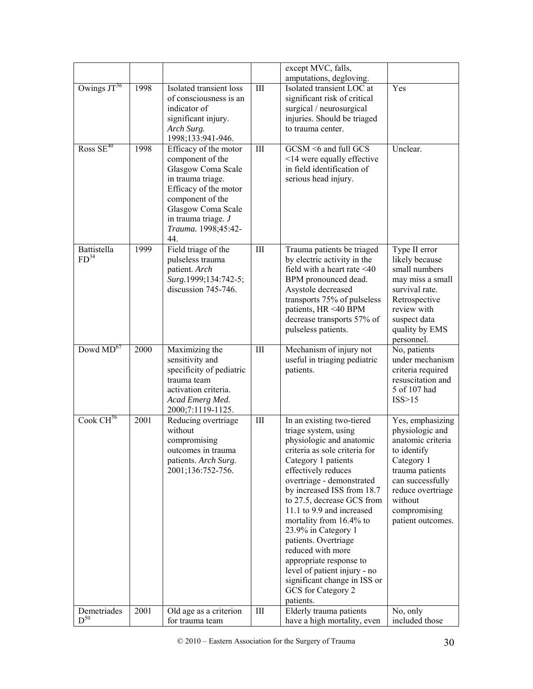|                                                           |      |                                                                                                                                                                                                                |     | except MVC, falls,                                                                                                                                                                                                                                                                                                                                                                                                                                                                                              |                                                                                                                                                                                                   |
|-----------------------------------------------------------|------|----------------------------------------------------------------------------------------------------------------------------------------------------------------------------------------------------------------|-----|-----------------------------------------------------------------------------------------------------------------------------------------------------------------------------------------------------------------------------------------------------------------------------------------------------------------------------------------------------------------------------------------------------------------------------------------------------------------------------------------------------------------|---------------------------------------------------------------------------------------------------------------------------------------------------------------------------------------------------|
|                                                           |      |                                                                                                                                                                                                                |     | amputations, degloving.                                                                                                                                                                                                                                                                                                                                                                                                                                                                                         |                                                                                                                                                                                                   |
| Owings $J T^{36}$                                         | 1998 | Isolated transient loss<br>of consciousness is an<br>indicator of<br>significant injury.<br>Arch Surg.<br>1998;133:941-946.                                                                                    | Ш   | Isolated transient LOC at<br>significant risk of critical<br>surgical / neurosurgical<br>injuries. Should be triaged<br>to trauma center.                                                                                                                                                                                                                                                                                                                                                                       | Yes                                                                                                                                                                                               |
| $Ross \overline{SE^{40}}$                                 | 1998 | Efficacy of the motor<br>component of the<br>Glasgow Coma Scale<br>in trauma triage.<br>Efficacy of the motor<br>component of the<br>Glasgow Coma Scale<br>in trauma triage. $J$<br>Trauma. 1998;45:42-<br>44. | Ш   | GCSM <6 and full GCS<br><14 were equally effective<br>in field identification of<br>serious head injury.                                                                                                                                                                                                                                                                                                                                                                                                        | Unclear.                                                                                                                                                                                          |
| Battistella<br>$FD^{34}$                                  | 1999 | Field triage of the<br>pulseless trauma<br>patient. Arch<br>Surg.1999;134:742-5;<br>discussion 745-746.                                                                                                        | Ш   | Trauma patients be triaged<br>by electric activity in the<br>field with a heart rate $\leq 40$<br>BPM pronounced dead.<br>Asystole decreased<br>transports 75% of pulseless<br>patients, HR <40 BPM<br>decrease transports 57% of<br>pulseless patients.                                                                                                                                                                                                                                                        | Type II error<br>likely because<br>small numbers<br>may miss a small<br>survival rate.<br>Retrospective<br>review with<br>suspect data<br>quality by EMS<br>personnel.                            |
| Dowd MD <sup>67</sup>                                     | 2000 | Maximizing the<br>sensitivity and<br>specificity of pediatric<br>trauma team<br>activation criteria.<br>Acad Emerg Med.<br>2000;7:1119-1125.                                                                   | Ш   | Mechanism of injury not<br>useful in triaging pediatric<br>patients.                                                                                                                                                                                                                                                                                                                                                                                                                                            | No, patients<br>under mechanism<br>criteria required<br>resuscitation and<br>5 of 107 had<br>ISS>15                                                                                               |
| $\overline{\mathrm{Cook }}$ $\overline{\mathrm{CH}}^{56}$ | 2001 | Reducing overtriage<br>without<br>compromising<br>outcomes in trauma<br>patients. Arch Surg.<br>2001;136:752-756.                                                                                              | III | In an existing two-tiered<br>triage system, using<br>physiologic and anatomic<br>criteria as sole criteria for<br>Category 1 patients<br>effectively reduces<br>overtriage - demonstrated<br>by increased ISS from 18.7<br>to 27.5, decrease GCS from<br>11.1 to 9.9 and increased<br>mortality from 16.4% to<br>23.9% in Category 1<br>patients. Overtriage<br>reduced with more<br>appropriate response to<br>level of patient injury - no<br>significant change in ISS or<br>GCS for Category 2<br>patients. | Yes, emphasizing<br>physiologic and<br>anatomic criteria<br>to identify<br>Category 1<br>trauma patients<br>can successfully<br>reduce overtriage<br>without<br>compromising<br>patient outcomes. |
| Demetriades<br>$D^{50}$                                   | 2001 | Old age as a criterion<br>for trauma team                                                                                                                                                                      | III | Elderly trauma patients<br>have a high mortality, even                                                                                                                                                                                                                                                                                                                                                                                                                                                          | No, only<br>included those                                                                                                                                                                        |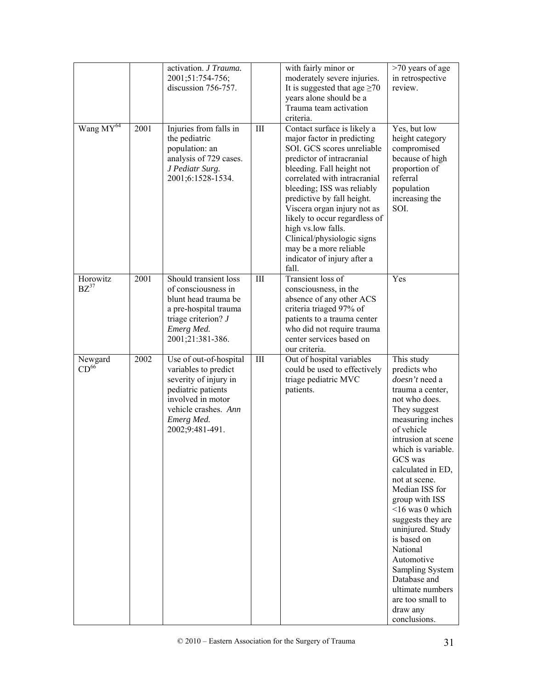|                             |      | activation. J Trauma.<br>2001;51:754-756;<br>discussion 756-757.                                                                                                            |           | with fairly minor or<br>moderately severe injuries.<br>It is suggested that age $\geq 70$<br>years alone should be a<br>Trauma team activation<br>criteria.                                                                                                                                                                                                                                                                         | >70 years of age<br>in retrospective<br>review.                                                                                                                                                                                                                                                                                                                                                                                                                                     |
|-----------------------------|------|-----------------------------------------------------------------------------------------------------------------------------------------------------------------------------|-----------|-------------------------------------------------------------------------------------------------------------------------------------------------------------------------------------------------------------------------------------------------------------------------------------------------------------------------------------------------------------------------------------------------------------------------------------|-------------------------------------------------------------------------------------------------------------------------------------------------------------------------------------------------------------------------------------------------------------------------------------------------------------------------------------------------------------------------------------------------------------------------------------------------------------------------------------|
| Wang MY <sup>64</sup>       | 2001 | Injuries from falls in<br>the pediatric<br>population: an<br>analysis of 729 cases.<br>J Pediatr Surg.<br>2001;6:1528-1534.                                                 | $\rm III$ | Contact surface is likely a<br>major factor in predicting<br>SOI. GCS scores unreliable<br>predictor of intracranial<br>bleeding. Fall height not<br>correlated with intracranial<br>bleeding; ISS was reliably<br>predictive by fall height.<br>Viscera organ injury not as<br>likely to occur regardless of<br>high vs.low falls.<br>Clinical/physiologic signs<br>may be a more reliable<br>indicator of injury after a<br>fall. | Yes, but low<br>height category<br>compromised<br>because of high<br>proportion of<br>referral<br>population<br>increasing the<br>SOI.                                                                                                                                                                                                                                                                                                                                              |
| Horowitz<br>$BZ^{37}$       | 2001 | Should transient loss<br>of consciousness in<br>blunt head trauma be<br>a pre-hospital trauma<br>triage criterion? $J$<br>Emerg Med.<br>2001;21:381-386.                    | $\rm III$ | Transient loss of<br>consciousness, in the<br>absence of any other ACS<br>criteria triaged 97% of<br>patients to a trauma center<br>who did not require trauma<br>center services based on<br>our criteria.                                                                                                                                                                                                                         | Yes                                                                                                                                                                                                                                                                                                                                                                                                                                                                                 |
| Newgard<br>CD <sup>66</sup> | 2002 | Use of out-of-hospital<br>variables to predict<br>severity of injury in<br>pediatric patients<br>involved in motor<br>vehicle crashes. Ann<br>Emerg Med.<br>2002;9:481-491. | III       | Out of hospital variables<br>could be used to effectively<br>triage pediatric MVC<br>patients.                                                                                                                                                                                                                                                                                                                                      | This study<br>predicts who<br>doesn't need a<br>trauma a center,<br>not who does.<br>They suggest<br>measuring inches<br>of vehicle<br>intrusion at scene<br>which is variable.<br>GCS was<br>calculated in ED,<br>not at scene.<br>Median ISS for<br>group with ISS<br>$<$ 16 was 0 which<br>suggests they are<br>uninjured. Study<br>is based on<br>National<br>Automotive<br>Sampling System<br>Database and<br>ultimate numbers<br>are too small to<br>draw any<br>conclusions. |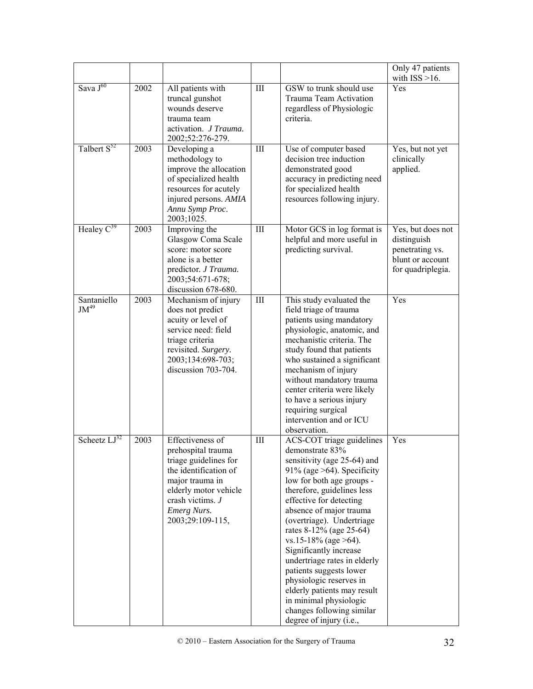|                          |      |                                                                                                                                                                                                      |           |                                                                                                                                                                                                                                                                                                                                                                                                                                                                                                                                                   | Only 47 patients                                                                             |
|--------------------------|------|------------------------------------------------------------------------------------------------------------------------------------------------------------------------------------------------------|-----------|---------------------------------------------------------------------------------------------------------------------------------------------------------------------------------------------------------------------------------------------------------------------------------------------------------------------------------------------------------------------------------------------------------------------------------------------------------------------------------------------------------------------------------------------------|----------------------------------------------------------------------------------------------|
| Sava J <sup>60</sup>     | 2002 |                                                                                                                                                                                                      |           | GSW to trunk should use                                                                                                                                                                                                                                                                                                                                                                                                                                                                                                                           | with $ISS > 16$ .<br>Yes                                                                     |
|                          |      | All patients with<br>truncal gunshot<br>wounds deserve<br>trauma team<br>activation. J Trauma.<br>2002;52:276-279.                                                                                   | III       | Trauma Team Activation<br>regardless of Physiologic<br>criteria.                                                                                                                                                                                                                                                                                                                                                                                                                                                                                  |                                                                                              |
| Talbert $S^{52}$         | 2003 | Developing a<br>methodology to<br>improve the allocation<br>of specialized health<br>resources for acutely<br>injured persons. AMIA<br>Annu Symp Proc.<br>2003;1025.                                 | III       | Use of computer based<br>decision tree induction<br>demonstrated good<br>accuracy in predicting need<br>for specialized health<br>resources following injury.                                                                                                                                                                                                                                                                                                                                                                                     | Yes, but not yet<br>clinically<br>applied.                                                   |
| Healey $C^{39}$          | 2003 | Improving the<br>Glasgow Coma Scale<br>score: motor score<br>alone is a better<br>predictor. J Trauma.<br>2003;54:671-678;<br>discussion 678-680.                                                    | $\rm III$ | Motor GCS in log format is<br>helpful and more useful in<br>predicting survival.                                                                                                                                                                                                                                                                                                                                                                                                                                                                  | Yes, but does not<br>distinguish<br>penetrating vs.<br>blunt or account<br>for quadriplegia. |
| Santaniello<br>$JM^{49}$ | 2003 | Mechanism of injury<br>does not predict<br>acuity or level of<br>service need: field<br>triage criteria<br>revisited. Surgery.<br>2003;134:698-703;<br>discussion 703-704.                           | $\rm III$ | This study evaluated the<br>field triage of trauma<br>patients using mandatory<br>physiologic, anatomic, and<br>mechanistic criteria. The<br>study found that patients<br>who sustained a significant<br>mechanism of injury<br>without mandatory trauma<br>center criteria were likely<br>to have a serious injury<br>requiring surgical<br>intervention and or ICU<br>observation.                                                                                                                                                              | Yes                                                                                          |
| Scheetz $LJ^{32}$        | 2003 | Effectiveness of<br>prehospital trauma<br>triage guidelines for<br>the identification of<br>major trauma in<br>elderly motor vehicle<br>crash victims. $J$<br><b>Emerg Nurs.</b><br>2003;29:109-115, | $\rm III$ | ACS-COT triage guidelines<br>demonstrate 83%<br>sensitivity (age 25-64) and<br>91% (age $>64$ ). Specificity<br>low for both age groups -<br>therefore, guidelines less<br>effective for detecting<br>absence of major trauma<br>(overtriage). Undertriage<br>rates 8-12% (age 25-64)<br>vs.15-18% (age $>64$ ).<br>Significantly increase<br>undertriage rates in elderly<br>patients suggests lower<br>physiologic reserves in<br>elderly patients may result<br>in minimal physiologic<br>changes following similar<br>degree of injury (i.e., | Yes                                                                                          |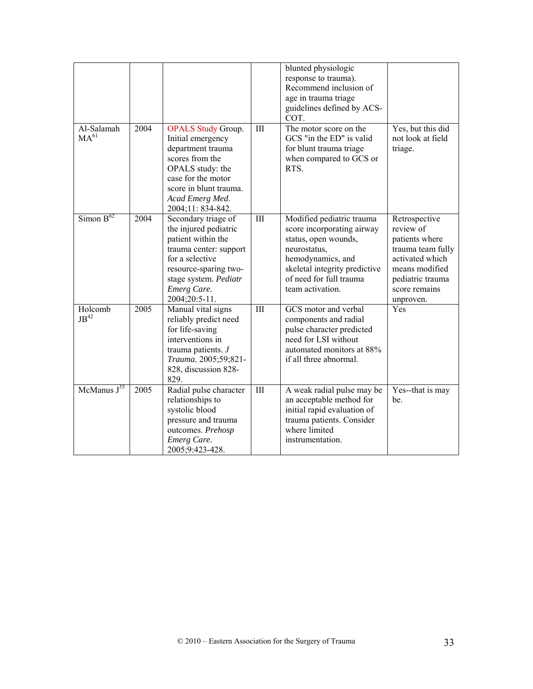|                             |      |                                                                                                                                                                                                   |           | blunted physiologic<br>response to trauma).<br>Recommend inclusion of<br>age in trauma triage<br>guidelines defined by ACS-<br>COT.                                                                  |                                                                                                                                                          |
|-----------------------------|------|---------------------------------------------------------------------------------------------------------------------------------------------------------------------------------------------------|-----------|------------------------------------------------------------------------------------------------------------------------------------------------------------------------------------------------------|----------------------------------------------------------------------------------------------------------------------------------------------------------|
| Al-Salamah<br>$MA^{61}$     | 2004 | <b>OPALS Study Group.</b><br>Initial emergency<br>department trauma<br>scores from the<br>OPALS study: the<br>case for the motor<br>score in blunt trauma.<br>Acad Emerg Med.<br>2004;11:834-842. | $\rm III$ | The motor score on the<br>GCS "in the ED" is valid<br>for blunt trauma triage<br>when compared to GCS or<br>RTS.                                                                                     | Yes, but this did<br>not look at field<br>triage.                                                                                                        |
| Simon $B^{62}$              | 2004 | Secondary triage of<br>the injured pediatric<br>patient within the<br>trauma center: support<br>for a selective<br>resource-sparing two-<br>stage system. Pediatr<br>Emerg Care.<br>2004;20:5-11. | III       | Modified pediatric trauma<br>score incorporating airway<br>status, open wounds,<br>neurostatus,<br>hemodynamics, and<br>skeletal integrity predictive<br>of need for full trauma<br>team activation. | Retrospective<br>review of<br>patients where<br>trauma team fully<br>activated which<br>means modified<br>pediatric trauma<br>score remains<br>unproven. |
| Holcomb<br>JB <sup>42</sup> | 2005 | Manual vital signs<br>reliably predict need<br>for life-saving<br>interventions in<br>trauma patients. $J$<br>Trauma. 2005;59;821-<br>828, discussion 828-<br>829.                                | $\rm III$ | GCS motor and verbal<br>components and radial<br>pulse character predicted<br>need for LSI without<br>automated monitors at 88%<br>if all three abnormal.                                            | Yes                                                                                                                                                      |
| McManus $J^{35}$            | 2005 | Radial pulse character<br>relationships to<br>systolic blood<br>pressure and trauma<br>outcomes. Prehosp<br>Emerg Care.<br>2005;9:423-428.                                                        | $\rm III$ | A weak radial pulse may be<br>an acceptable method for<br>initial rapid evaluation of<br>trauma patients. Consider<br>where limited<br>instrumentation.                                              | Yes--that is may<br>be.                                                                                                                                  |